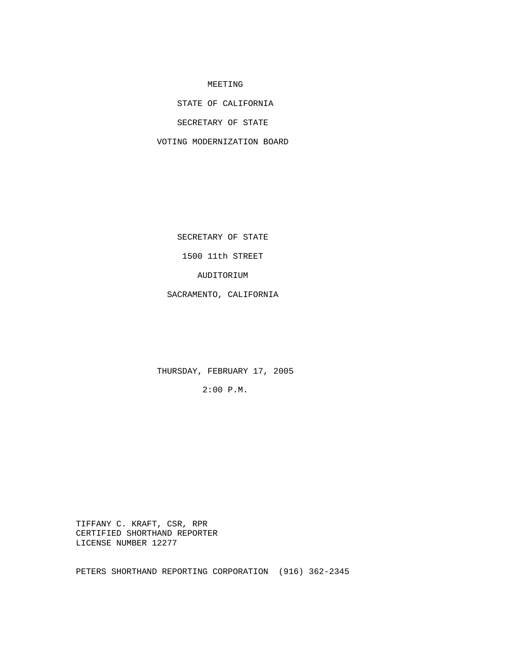#### MEETING

STATE OF CALIFORNIA

SECRETARY OF STATE

VOTING MODERNIZATION BOARD

SECRETARY OF STATE

1500 11th STREET

AUDITORIUM

SACRAMENTO, CALIFORNIA

THURSDAY, FEBRUARY 17, 2005

2:00 P.M.

 TIFFANY C. KRAFT, CSR, RPR CERTIFIED SHORTHAND REPORTER LICENSE NUMBER 12277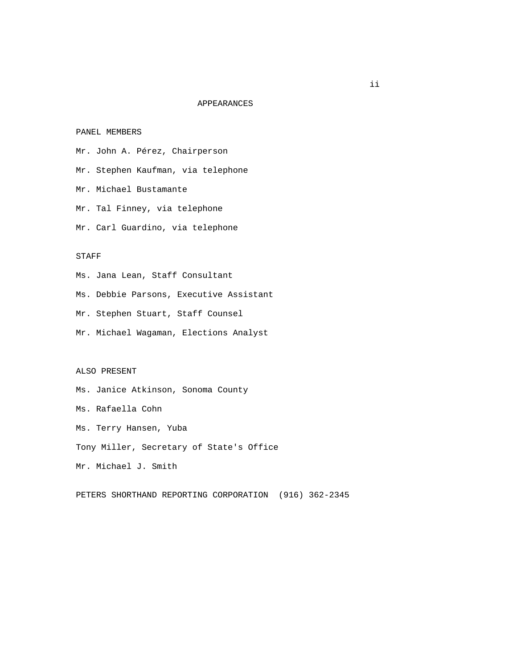# APPEARANCES

## PANEL MEMBERS

- Mr. John A. Pérez, Chairperson
- Mr. Stephen Kaufman, via telephone
- Mr. Michael Bustamante
- Mr. Tal Finney, via telephone
- Mr. Carl Guardino, via telephone

# STAFF

- Ms. Jana Lean, Staff Consultant
- Ms. Debbie Parsons, Executive Assistant
- Mr. Stephen Stuart, Staff Counsel
- Mr. Michael Wagaman, Elections Analyst

## ALSO PRESENT

- Ms. Janice Atkinson, Sonoma County
- Ms. Rafaella Cohn
- Ms. Terry Hansen, Yuba
- Tony Miller, Secretary of State's Office
- Mr. Michael J. Smith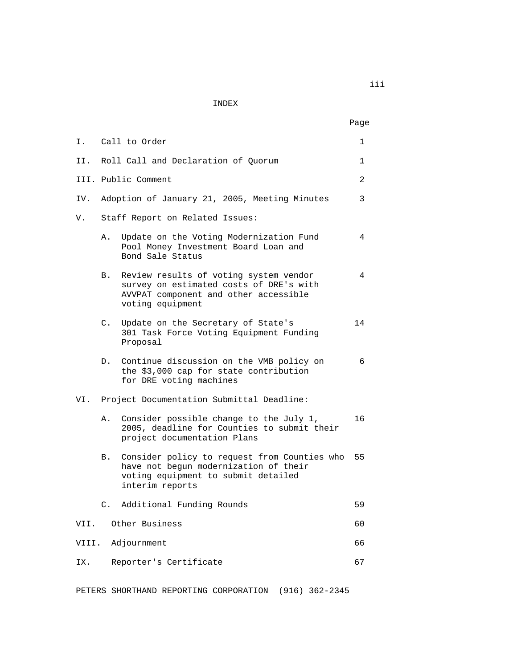INDEX

|       |                                 |                                                                                                                                                 | Page           |
|-------|---------------------------------|-------------------------------------------------------------------------------------------------------------------------------------------------|----------------|
|       |                                 | I. Call to Order                                                                                                                                | 1              |
|       |                                 | II. Roll Call and Declaration of Quorum                                                                                                         | 1              |
|       |                                 | III. Public Comment                                                                                                                             | $\overline{a}$ |
| IV.   |                                 | Adoption of January 21, 2005, Meeting Minutes                                                                                                   | 3              |
| V.    | Staff Report on Related Issues: |                                                                                                                                                 |                |
|       | Α.                              | Update on the Voting Modernization Fund<br>Pool Money Investment Board Loan and<br>Bond Sale Status                                             | 4              |
|       | В.                              | Review results of voting system vendor<br>survey on estimated costs of DRE's with<br>AVVPAT component and other accessible<br>voting equipment  | 4              |
|       | C.                              | Update on the Secretary of State's<br>301 Task Force Voting Equipment Funding<br>Proposal                                                       | 14             |
|       | $D$ .                           | Continue discussion on the VMB policy on<br>the \$3,000 cap for state contribution<br>for DRE voting machines                                   | 6              |
|       |                                 | VI. Project Documentation Submittal Deadline:                                                                                                   |                |
|       | Α.                              | Consider possible change to the July 1,<br>2005, deadline for Counties to submit their<br>project documentation Plans                           | 16             |
|       | В.                              | Consider policy to request from Counties who<br>have not begun modernization of their<br>voting equipment to submit detailed<br>interim reports | 55             |
|       | C.                              | Additional Funding Rounds                                                                                                                       | 59             |
| VII.  |                                 | Other Business                                                                                                                                  | 60             |
| VIII. |                                 | Adjournment                                                                                                                                     | 66             |
| IX.   |                                 | Reporter's Certificate                                                                                                                          | 67             |

PETERS SHORTHAND REPORTING CORPORATION (916) 362-2345

iii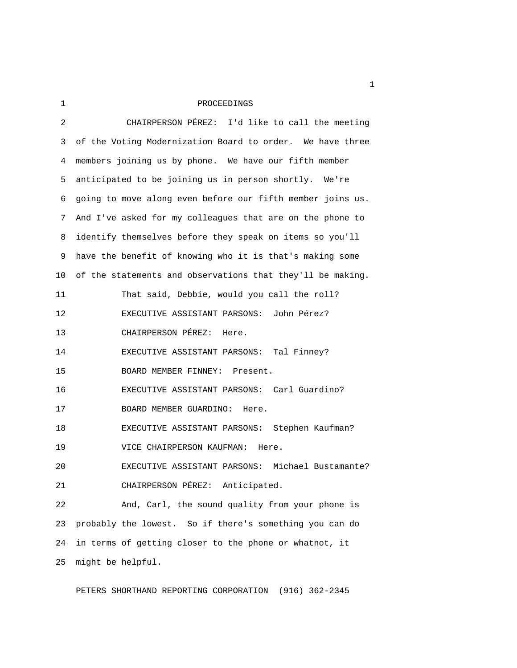1 PROCEEDINGS

| 2  | CHAIRPERSON PÉREZ: I'd like to call the meeting            |  |  |
|----|------------------------------------------------------------|--|--|
| 3  | of the Voting Modernization Board to order. We have three  |  |  |
| 4  | members joining us by phone. We have our fifth member      |  |  |
| 5. | anticipated to be joining us in person shortly. We're      |  |  |
| 6  | going to move along even before our fifth member joins us. |  |  |
| 7  | And I've asked for my colleagues that are on the phone to  |  |  |
| 8  | identify themselves before they speak on items so you'll   |  |  |
| 9  | have the benefit of knowing who it is that's making some   |  |  |
| 10 | of the statements and observations that they'll be making. |  |  |
| 11 | That said, Debbie, would you call the roll?                |  |  |
| 12 | EXECUTIVE ASSISTANT PARSONS: John Pérez?                   |  |  |
| 13 | CHAIRPERSON PÉREZ: Here.                                   |  |  |
| 14 | EXECUTIVE ASSISTANT PARSONS: Tal Finney?                   |  |  |
| 15 | BOARD MEMBER FINNEY:<br>Present.                           |  |  |
| 16 | EXECUTIVE ASSISTANT PARSONS: Carl Guardino?                |  |  |
| 17 | BOARD MEMBER GUARDINO: Here.                               |  |  |
| 18 | EXECUTIVE ASSISTANT PARSONS: Stephen Kaufman?              |  |  |
| 19 | VICE CHAIRPERSON KAUFMAN:<br>Here.                         |  |  |
| 20 | EXECUTIVE ASSISTANT PARSONS: Michael Bustamante?           |  |  |
| 21 | CHAIRPERSON PÉREZ: Anticipated.                            |  |  |
| 22 | And, Carl, the sound quality from your phone is            |  |  |
| 23 | probably the lowest. So if there's something you can do    |  |  |
| 24 | in terms of getting closer to the phone or whatnot, it     |  |  |
| 25 | might be helpful.                                          |  |  |

PETERS SHORTHAND REPORTING CORPORATION (916) 362-2345

 $1<sub>1</sub>$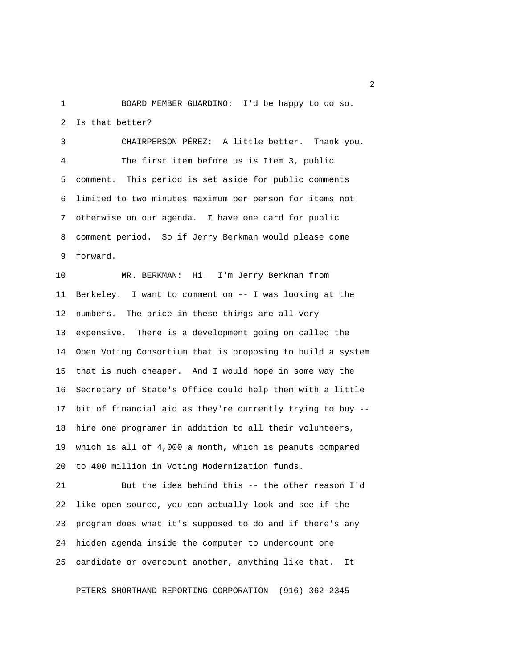1 BOARD MEMBER GUARDINO: I'd be happy to do so. 2 Is that better?

 3 CHAIRPERSON PÉREZ: A little better. Thank you. 4 The first item before us is Item 3, public 5 comment. This period is set aside for public comments 6 limited to two minutes maximum per person for items not 7 otherwise on our agenda. I have one card for public 8 comment period. So if Jerry Berkman would please come 9 forward.

10 MR. BERKMAN: Hi. I'm Jerry Berkman from 11 Berkeley. I want to comment on -- I was looking at the 12 numbers. The price in these things are all very 13 expensive. There is a development going on called the 14 Open Voting Consortium that is proposing to build a system 15 that is much cheaper. And I would hope in some way the 16 Secretary of State's Office could help them with a little 17 bit of financial aid as they're currently trying to buy -- 18 hire one programer in addition to all their volunteers, 19 which is all of 4,000 a month, which is peanuts compared 20 to 400 million in Voting Modernization funds.

21 But the idea behind this -- the other reason I'd 22 like open source, you can actually look and see if the 23 program does what it's supposed to do and if there's any 24 hidden agenda inside the computer to undercount one 25 candidate or overcount another, anything like that. It

PETERS SHORTHAND REPORTING CORPORATION (916) 362-2345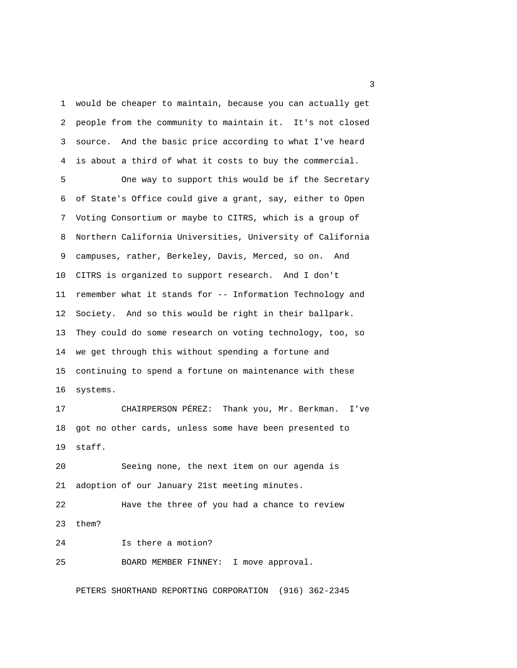1 would be cheaper to maintain, because you can actually get 2 people from the community to maintain it. It's not closed 3 source. And the basic price according to what I've heard 4 is about a third of what it costs to buy the commercial.

 5 One way to support this would be if the Secretary 6 of State's Office could give a grant, say, either to Open 7 Voting Consortium or maybe to CITRS, which is a group of 8 Northern California Universities, University of California 9 campuses, rather, Berkeley, Davis, Merced, so on. And 10 CITRS is organized to support research. And I don't 11 remember what it stands for -- Information Technology and 12 Society. And so this would be right in their ballpark. 13 They could do some research on voting technology, too, so 14 we get through this without spending a fortune and 15 continuing to spend a fortune on maintenance with these 16 systems.

17 CHAIRPERSON PÉREZ: Thank you, Mr. Berkman. I've 18 got no other cards, unless some have been presented to 19 staff.

20 Seeing none, the next item on our agenda is 21 adoption of our January 21st meeting minutes.

22 Have the three of you had a chance to review 23 them?

24 Is there a motion? 25 BOARD MEMBER FINNEY: I move approval.

PETERS SHORTHAND REPORTING CORPORATION (916) 362-2345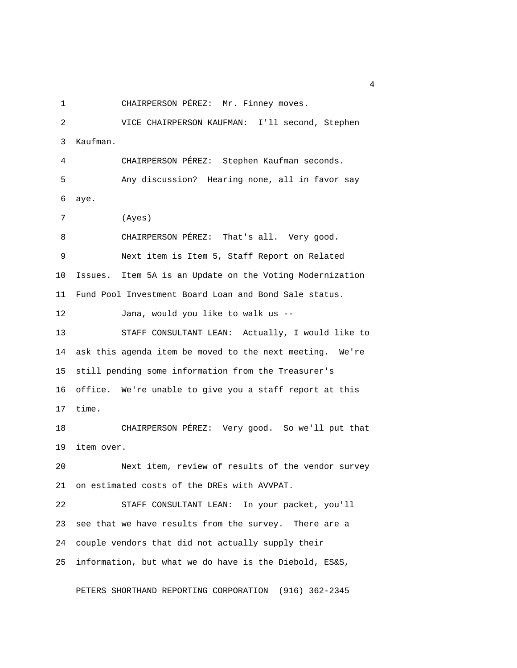1 CHAIRPERSON PÉREZ: Mr. Finney moves.

 2 VICE CHAIRPERSON KAUFMAN: I'll second, Stephen 3 Kaufman. 4 CHAIRPERSON PÉREZ: Stephen Kaufman seconds. 5 Any discussion? Hearing none, all in favor say 6 aye. 7 (Ayes) 8 CHAIRPERSON PÉREZ: That's all. Very good. 9 Next item is Item 5, Staff Report on Related 10 Issues. Item 5A is an Update on the Voting Modernization 11 Fund Pool Investment Board Loan and Bond Sale status. 12 Jana, would you like to walk us -- 13 STAFF CONSULTANT LEAN: Actually, I would like to 14 ask this agenda item be moved to the next meeting. We're 15 still pending some information from the Treasurer's 16 office. We're unable to give you a staff report at this 17 time. 18 CHAIRPERSON PÉREZ: Very good. So we'll put that 19 item over. 20 Next item, review of results of the vendor survey 21 on estimated costs of the DREs with AVVPAT. 22 STAFF CONSULTANT LEAN: In your packet, you'll 23 see that we have results from the survey. There are a 24 couple vendors that did not actually supply their 25 information, but what we do have is the Diebold, ES&S,

PETERS SHORTHAND REPORTING CORPORATION (916) 362-2345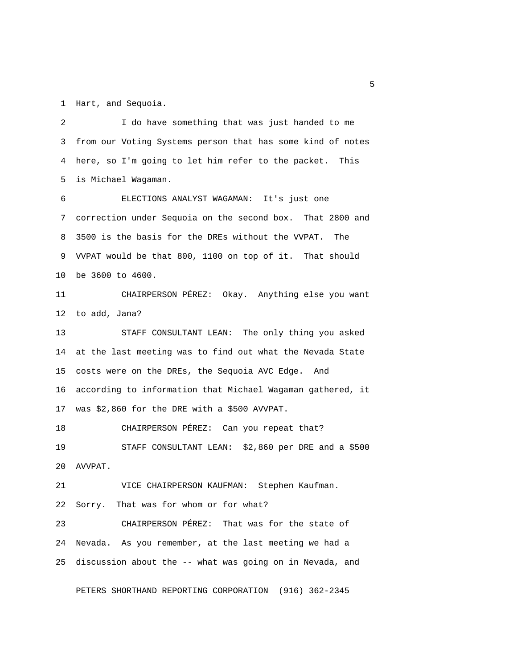1 Hart, and Sequoia.

 2 I do have something that was just handed to me 3 from our Voting Systems person that has some kind of notes 4 here, so I'm going to let him refer to the packet. This 5 is Michael Wagaman.

 6 ELECTIONS ANALYST WAGAMAN: It's just one 7 correction under Sequoia on the second box. That 2800 and 8 3500 is the basis for the DREs without the VVPAT. The 9 VVPAT would be that 800, 1100 on top of it. That should 10 be 3600 to 4600.

11 CHAIRPERSON PÉREZ: Okay. Anything else you want 12 to add, Jana?

13 STAFF CONSULTANT LEAN: The only thing you asked 14 at the last meeting was to find out what the Nevada State 15 costs were on the DREs, the Sequoia AVC Edge. And 16 according to information that Michael Wagaman gathered, it 17 was \$2,860 for the DRE with a \$500 AVVPAT.

18 CHAIRPERSON PÉREZ: Can you repeat that? 19 STAFF CONSULTANT LEAN: \$2,860 per DRE and a \$500 20 AVVPAT.

21 VICE CHAIRPERSON KAUFMAN: Stephen Kaufman.

22 Sorry. That was for whom or for what?

23 CHAIRPERSON PÉREZ: That was for the state of 24 Nevada. As you remember, at the last meeting we had a 25 discussion about the -- what was going on in Nevada, and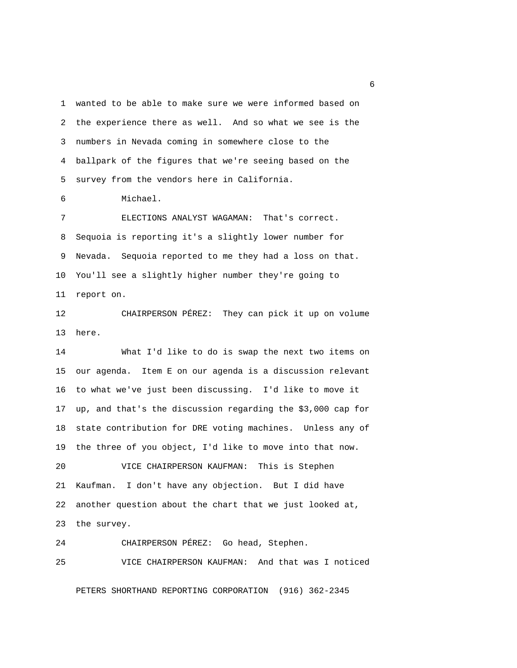1 wanted to be able to make sure we were informed based on 2 the experience there as well. And so what we see is the 3 numbers in Nevada coming in somewhere close to the 4 ballpark of the figures that we're seeing based on the 5 survey from the vendors here in California.

6 Michael.

 7 ELECTIONS ANALYST WAGAMAN: That's correct. 8 Sequoia is reporting it's a slightly lower number for 9 Nevada. Sequoia reported to me they had a loss on that. 10 You'll see a slightly higher number they're going to 11 report on.

12 CHAIRPERSON PÉREZ: They can pick it up on volume 13 here.

14 What I'd like to do is swap the next two items on 15 our agenda. Item E on our agenda is a discussion relevant 16 to what we've just been discussing. I'd like to move it 17 up, and that's the discussion regarding the \$3,000 cap for 18 state contribution for DRE voting machines. Unless any of 19 the three of you object, I'd like to move into that now. 20 VICE CHAIRPERSON KAUFMAN: This is Stephen

21 Kaufman. I don't have any objection. But I did have 22 another question about the chart that we just looked at, 23 the survey.

24 CHAIRPERSON PÉREZ: Go head, Stephen. 25 VICE CHAIRPERSON KAUFMAN: And that was I noticed

PETERS SHORTHAND REPORTING CORPORATION (916) 362-2345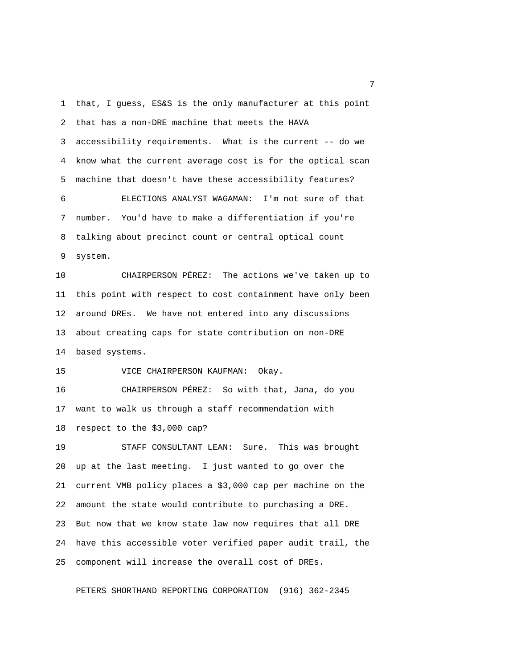1 that, I guess, ES&S is the only manufacturer at this point 2 that has a non-DRE machine that meets the HAVA 3 accessibility requirements. What is the current -- do we 4 know what the current average cost is for the optical scan 5 machine that doesn't have these accessibility features? 6 ELECTIONS ANALYST WAGAMAN: I'm not sure of that 7 number. You'd have to make a differentiation if you're 8 talking about precinct count or central optical count 9 system.

10 CHAIRPERSON PÉREZ: The actions we've taken up to 11 this point with respect to cost containment have only been 12 around DREs. We have not entered into any discussions 13 about creating caps for state contribution on non-DRE 14 based systems.

15 VICE CHAIRPERSON KAUFMAN: Okay.

16 CHAIRPERSON PÉREZ: So with that, Jana, do you 17 want to walk us through a staff recommendation with 18 respect to the \$3,000 cap?

19 STAFF CONSULTANT LEAN: Sure. This was brought 20 up at the last meeting. I just wanted to go over the 21 current VMB policy places a \$3,000 cap per machine on the 22 amount the state would contribute to purchasing a DRE. 23 But now that we know state law now requires that all DRE 24 have this accessible voter verified paper audit trail, the 25 component will increase the overall cost of DREs.

PETERS SHORTHAND REPORTING CORPORATION (916) 362-2345

<u>2</u> The contract of the contract of the contract of the contract of the contract of the contract of the contract of the contract of the contract of the contract of the contract of the contract of the contract of the contra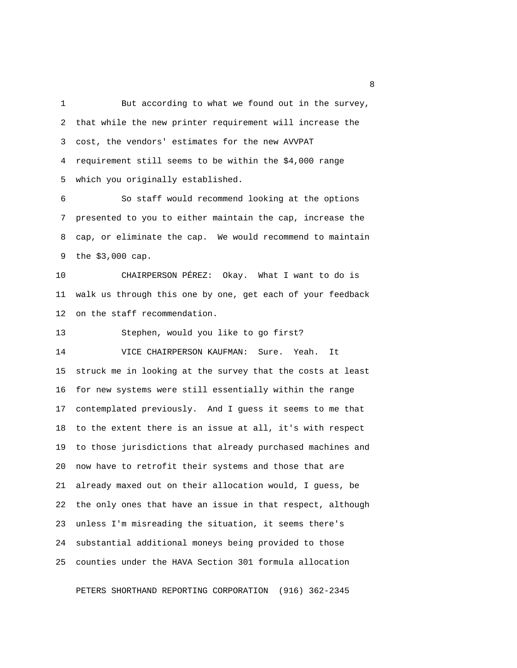1 But according to what we found out in the survey, 2 that while the new printer requirement will increase the 3 cost, the vendors' estimates for the new AVVPAT 4 requirement still seems to be within the \$4,000 range 5 which you originally established.

 6 So staff would recommend looking at the options 7 presented to you to either maintain the cap, increase the 8 cap, or eliminate the cap. We would recommend to maintain 9 the \$3,000 cap.

10 CHAIRPERSON PÉREZ: Okay. What I want to do is 11 walk us through this one by one, get each of your feedback 12 on the staff recommendation.

13 Stephen, would you like to go first?

14 VICE CHAIRPERSON KAUFMAN: Sure. Yeah. It 15 struck me in looking at the survey that the costs at least 16 for new systems were still essentially within the range 17 contemplated previously. And I guess it seems to me that 18 to the extent there is an issue at all, it's with respect 19 to those jurisdictions that already purchased machines and 20 now have to retrofit their systems and those that are 21 already maxed out on their allocation would, I guess, be 22 the only ones that have an issue in that respect, although 23 unless I'm misreading the situation, it seems there's 24 substantial additional moneys being provided to those 25 counties under the HAVA Section 301 formula allocation

PETERS SHORTHAND REPORTING CORPORATION (916) 362-2345

experience of the state of the state of the state of the state of the state of the state of the state of the s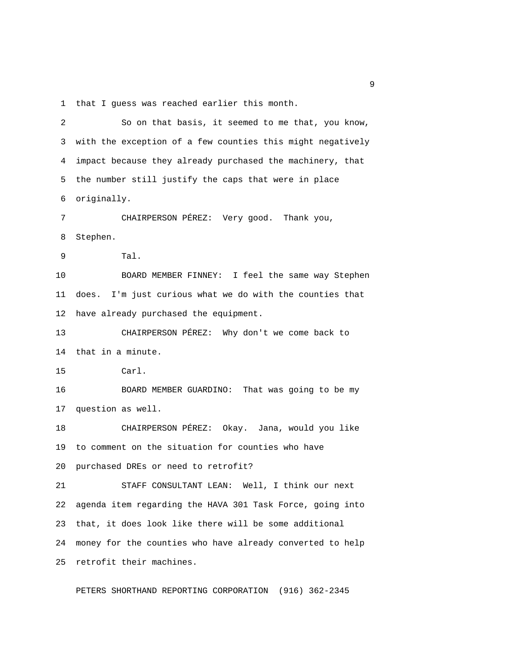1 that I guess was reached earlier this month.

 2 So on that basis, it seemed to me that, you know, 3 with the exception of a few counties this might negatively 4 impact because they already purchased the machinery, that 5 the number still justify the caps that were in place 6 originally. 7 CHAIRPERSON PÉREZ: Very good. Thank you, 8 Stephen. 9 Tal. 10 BOARD MEMBER FINNEY: I feel the same way Stephen 11 does. I'm just curious what we do with the counties that 12 have already purchased the equipment. 13 CHAIRPERSON PÉREZ: Why don't we come back to 14 that in a minute. 15 Carl. 16 BOARD MEMBER GUARDINO: That was going to be my 17 question as well. 18 CHAIRPERSON PÉREZ: Okay. Jana, would you like 19 to comment on the situation for counties who have 20 purchased DREs or need to retrofit? 21 STAFF CONSULTANT LEAN: Well, I think our next 22 agenda item regarding the HAVA 301 Task Force, going into 23 that, it does look like there will be some additional 24 money for the counties who have already converted to help 25 retrofit their machines.

PETERS SHORTHAND REPORTING CORPORATION (916) 362-2345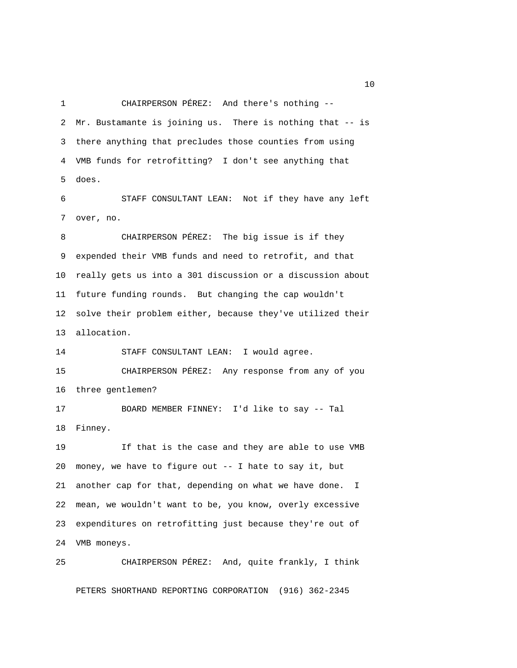1 CHAIRPERSON PÉREZ: And there's nothing -- 2 Mr. Bustamante is joining us. There is nothing that -- is 3 there anything that precludes those counties from using 4 VMB funds for retrofitting? I don't see anything that 5 does.

 6 STAFF CONSULTANT LEAN: Not if they have any left 7 over, no.

 8 CHAIRPERSON PÉREZ: The big issue is if they 9 expended their VMB funds and need to retrofit, and that 10 really gets us into a 301 discussion or a discussion about 11 future funding rounds. But changing the cap wouldn't 12 solve their problem either, because they've utilized their 13 allocation.

14 STAFF CONSULTANT LEAN: I would agree.

15 CHAIRPERSON PÉREZ: Any response from any of you 16 three gentlemen?

17 BOARD MEMBER FINNEY: I'd like to say -- Tal 18 Finney.

19 If that is the case and they are able to use VMB 20 money, we have to figure out -- I hate to say it, but 21 another cap for that, depending on what we have done. I 22 mean, we wouldn't want to be, you know, overly excessive 23 expenditures on retrofitting just because they're out of 24 VMB moneys.

# 25 CHAIRPERSON PÉREZ: And, quite frankly, I think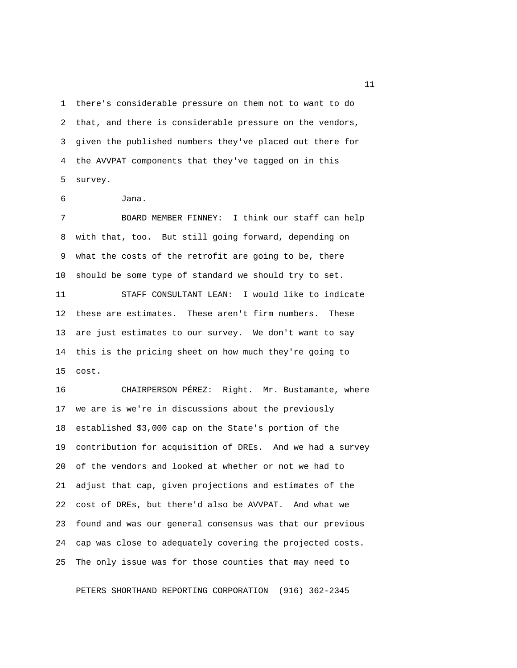1 there's considerable pressure on them not to want to do 2 that, and there is considerable pressure on the vendors, 3 given the published numbers they've placed out there for 4 the AVVPAT components that they've tagged on in this 5 survey.

6 Jana.

 7 BOARD MEMBER FINNEY: I think our staff can help 8 with that, too. But still going forward, depending on 9 what the costs of the retrofit are going to be, there 10 should be some type of standard we should try to set.

11 STAFF CONSULTANT LEAN: I would like to indicate 12 these are estimates. These aren't firm numbers. These 13 are just estimates to our survey. We don't want to say 14 this is the pricing sheet on how much they're going to 15 cost.

16 CHAIRPERSON PÉREZ: Right. Mr. Bustamante, where 17 we are is we're in discussions about the previously 18 established \$3,000 cap on the State's portion of the 19 contribution for acquisition of DREs. And we had a survey 20 of the vendors and looked at whether or not we had to 21 adjust that cap, given projections and estimates of the 22 cost of DREs, but there'd also be AVVPAT. And what we 23 found and was our general consensus was that our previous 24 cap was close to adequately covering the projected costs. 25 The only issue was for those counties that may need to

PETERS SHORTHAND REPORTING CORPORATION (916) 362-2345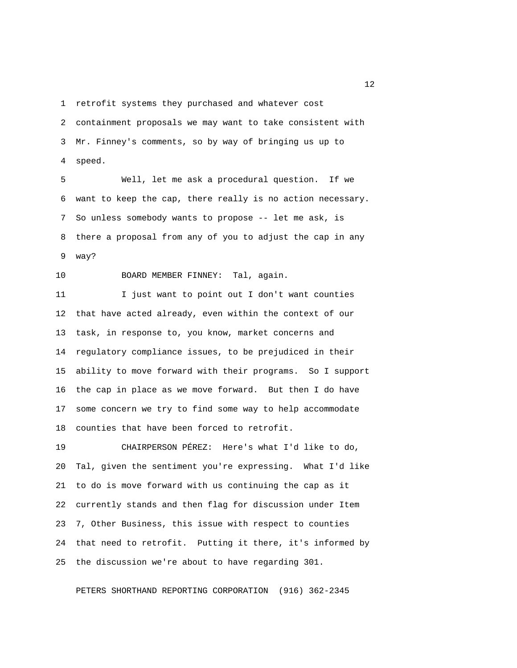1 retrofit systems they purchased and whatever cost

 2 containment proposals we may want to take consistent with 3 Mr. Finney's comments, so by way of bringing us up to 4 speed.

 5 Well, let me ask a procedural question. If we 6 want to keep the cap, there really is no action necessary. 7 So unless somebody wants to propose -- let me ask, is 8 there a proposal from any of you to adjust the cap in any 9 way?

10 BOARD MEMBER FINNEY: Tal, again.

11 I just want to point out I don't want counties 12 that have acted already, even within the context of our 13 task, in response to, you know, market concerns and 14 regulatory compliance issues, to be prejudiced in their 15 ability to move forward with their programs. So I support 16 the cap in place as we move forward. But then I do have 17 some concern we try to find some way to help accommodate 18 counties that have been forced to retrofit.

19 CHAIRPERSON PÉREZ: Here's what I'd like to do, 20 Tal, given the sentiment you're expressing. What I'd like 21 to do is move forward with us continuing the cap as it 22 currently stands and then flag for discussion under Item 23 7, Other Business, this issue with respect to counties 24 that need to retrofit. Putting it there, it's informed by 25 the discussion we're about to have regarding 301.

PETERS SHORTHAND REPORTING CORPORATION (916) 362-2345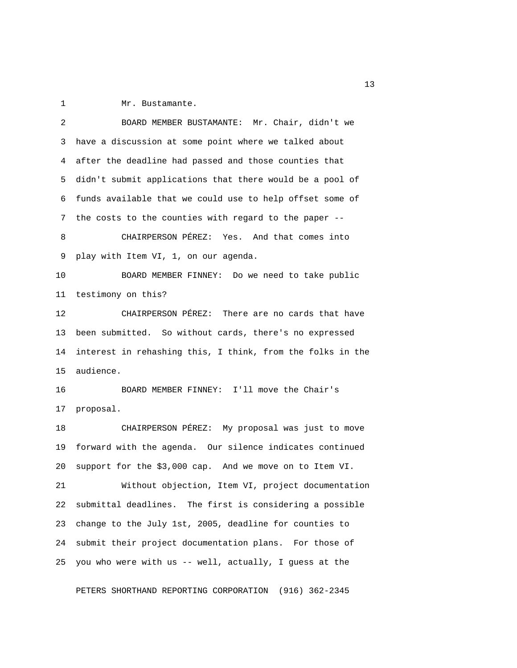1 Mr. Bustamante.

 2 BOARD MEMBER BUSTAMANTE: Mr. Chair, didn't we 3 have a discussion at some point where we talked about 4 after the deadline had passed and those counties that 5 didn't submit applications that there would be a pool of 6 funds available that we could use to help offset some of 7 the costs to the counties with regard to the paper -- 8 CHAIRPERSON PÉREZ: Yes. And that comes into 9 play with Item VI, 1, on our agenda. 10 BOARD MEMBER FINNEY: Do we need to take public 11 testimony on this? 12 CHAIRPERSON PÉREZ: There are no cards that have 13 been submitted. So without cards, there's no expressed 14 interest in rehashing this, I think, from the folks in the 15 audience. 16 BOARD MEMBER FINNEY: I'll move the Chair's 17 proposal. 18 CHAIRPERSON PÉREZ: My proposal was just to move 19 forward with the agenda. Our silence indicates continued 20 support for the \$3,000 cap. And we move on to Item VI. 21 Without objection, Item VI, project documentation 22 submittal deadlines. The first is considering a possible 23 change to the July 1st, 2005, deadline for counties to 24 submit their project documentation plans. For those of 25 you who were with us -- well, actually, I guess at the

PETERS SHORTHAND REPORTING CORPORATION (916) 362-2345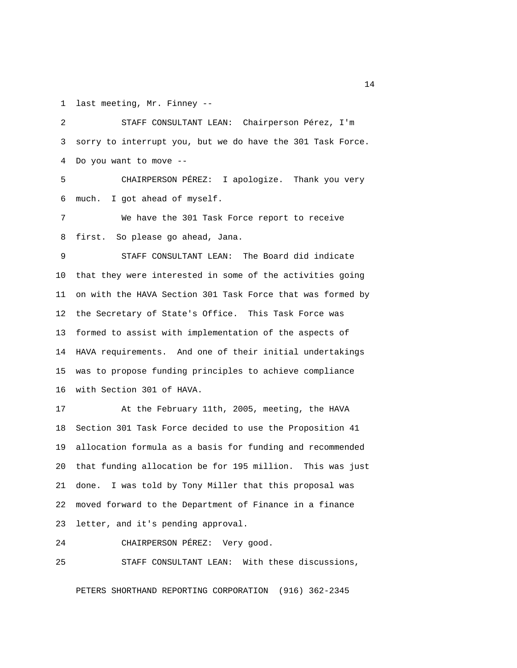1 last meeting, Mr. Finney --

 2 STAFF CONSULTANT LEAN: Chairperson Pérez, I'm 3 sorry to interrupt you, but we do have the 301 Task Force. 4 Do you want to move --

 5 CHAIRPERSON PÉREZ: I apologize. Thank you very 6 much. I got ahead of myself.

 7 We have the 301 Task Force report to receive 8 first. So please go ahead, Jana.

 9 STAFF CONSULTANT LEAN: The Board did indicate 10 that they were interested in some of the activities going 11 on with the HAVA Section 301 Task Force that was formed by 12 the Secretary of State's Office. This Task Force was 13 formed to assist with implementation of the aspects of 14 HAVA requirements. And one of their initial undertakings 15 was to propose funding principles to achieve compliance 16 with Section 301 of HAVA.

17 At the February 11th, 2005, meeting, the HAVA 18 Section 301 Task Force decided to use the Proposition 41 19 allocation formula as a basis for funding and recommended 20 that funding allocation be for 195 million. This was just 21 done. I was told by Tony Miller that this proposal was 22 moved forward to the Department of Finance in a finance 23 letter, and it's pending approval.

24 CHAIRPERSON PÉREZ: Very good.

25 STAFF CONSULTANT LEAN: With these discussions,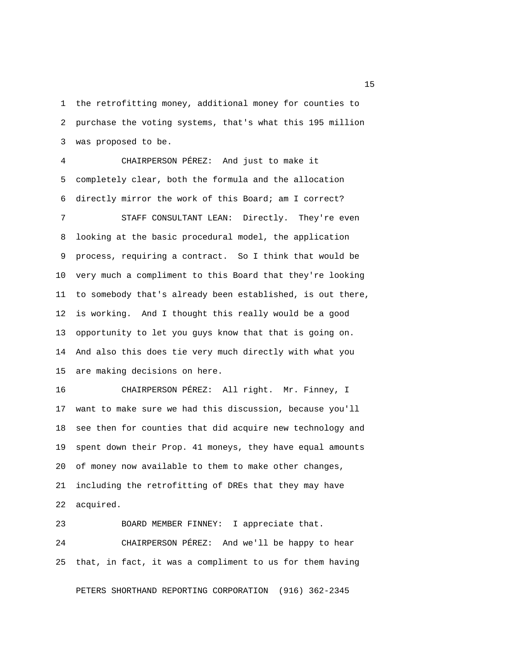1 the retrofitting money, additional money for counties to 2 purchase the voting systems, that's what this 195 million 3 was proposed to be.

 4 CHAIRPERSON PÉREZ: And just to make it 5 completely clear, both the formula and the allocation 6 directly mirror the work of this Board; am I correct?

 7 STAFF CONSULTANT LEAN: Directly. They're even 8 looking at the basic procedural model, the application 9 process, requiring a contract. So I think that would be 10 very much a compliment to this Board that they're looking 11 to somebody that's already been established, is out there, 12 is working. And I thought this really would be a good 13 opportunity to let you guys know that that is going on. 14 And also this does tie very much directly with what you 15 are making decisions on here.

16 CHAIRPERSON PÉREZ: All right. Mr. Finney, I 17 want to make sure we had this discussion, because you'll 18 see then for counties that did acquire new technology and 19 spent down their Prop. 41 moneys, they have equal amounts 20 of money now available to them to make other changes, 21 including the retrofitting of DREs that they may have 22 acquired.

23 BOARD MEMBER FINNEY: I appreciate that. 24 CHAIRPERSON PÉREZ: And we'll be happy to hear 25 that, in fact, it was a compliment to us for them having

PETERS SHORTHAND REPORTING CORPORATION (916) 362-2345

n 15 and 15 and 15 and 15 and 15 and 15 and 15 and 15 and 15 and 15 and 15 and 15 and 15 and 15 and 15 and 15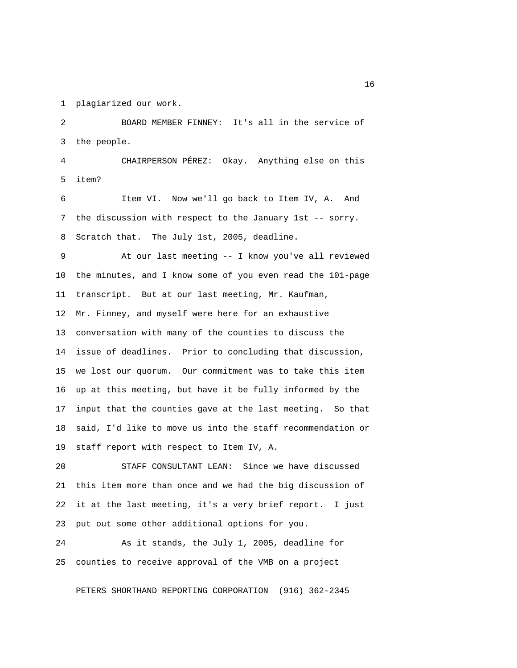1 plagiarized our work.

 2 BOARD MEMBER FINNEY: It's all in the service of 3 the people.

 4 CHAIRPERSON PÉREZ: Okay. Anything else on this 5 item?

 6 Item VI. Now we'll go back to Item IV, A. And 7 the discussion with respect to the January 1st -- sorry. 8 Scratch that. The July 1st, 2005, deadline.

 9 At our last meeting -- I know you've all reviewed 10 the minutes, and I know some of you even read the 101-page 11 transcript. But at our last meeting, Mr. Kaufman, 12 Mr. Finney, and myself were here for an exhaustive 13 conversation with many of the counties to discuss the 14 issue of deadlines. Prior to concluding that discussion, 15 we lost our quorum. Our commitment was to take this item 16 up at this meeting, but have it be fully informed by the 17 input that the counties gave at the last meeting. So that 18 said, I'd like to move us into the staff recommendation or 19 staff report with respect to Item IV, A.

20 STAFF CONSULTANT LEAN: Since we have discussed 21 this item more than once and we had the big discussion of 22 it at the last meeting, it's a very brief report. I just 23 put out some other additional options for you.

24 As it stands, the July 1, 2005, deadline for 25 counties to receive approval of the VMB on a project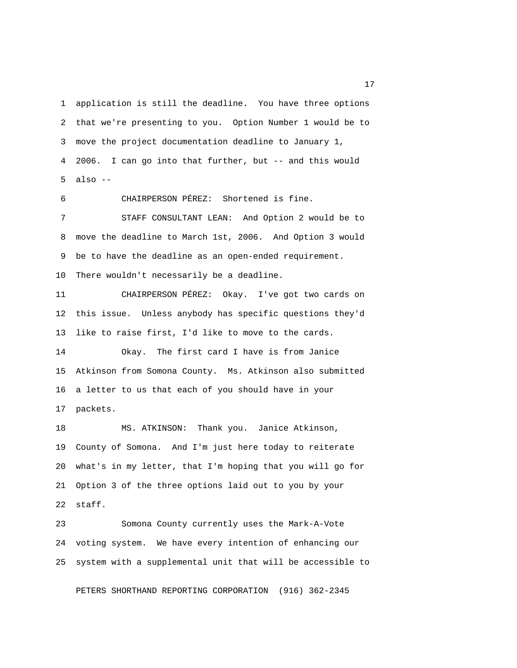1 application is still the deadline. You have three options 2 that we're presenting to you. Option Number 1 would be to 3 move the project documentation deadline to January 1, 4 2006. I can go into that further, but -- and this would 5 also --

6 CHAIRPERSON PÉREZ: Shortened is fine.

 7 STAFF CONSULTANT LEAN: And Option 2 would be to 8 move the deadline to March 1st, 2006. And Option 3 would 9 be to have the deadline as an open-ended requirement. 10 There wouldn't necessarily be a deadline.

11 CHAIRPERSON PÉREZ: Okay. I've got two cards on 12 this issue. Unless anybody has specific questions they'd 13 like to raise first, I'd like to move to the cards.

14 Okay. The first card I have is from Janice 15 Atkinson from Somona County. Ms. Atkinson also submitted 16 a letter to us that each of you should have in your 17 packets.

18 MS. ATKINSON: Thank you. Janice Atkinson, 19 County of Somona. And I'm just here today to reiterate 20 what's in my letter, that I'm hoping that you will go for 21 Option 3 of the three options laid out to you by your 22 staff.

23 Somona County currently uses the Mark-A-Vote 24 voting system. We have every intention of enhancing our 25 system with a supplemental unit that will be accessible to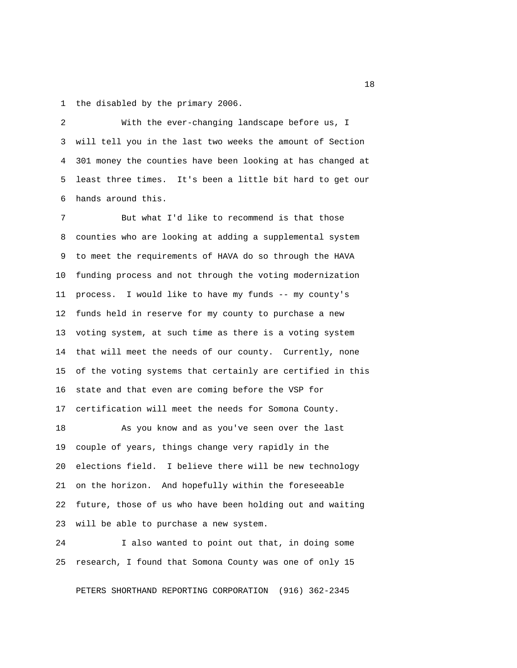1 the disabled by the primary 2006.

 2 With the ever-changing landscape before us, I 3 will tell you in the last two weeks the amount of Section 4 301 money the counties have been looking at has changed at 5 least three times. It's been a little bit hard to get our 6 hands around this.

 7 But what I'd like to recommend is that those 8 counties who are looking at adding a supplemental system 9 to meet the requirements of HAVA do so through the HAVA 10 funding process and not through the voting modernization 11 process. I would like to have my funds -- my county's 12 funds held in reserve for my county to purchase a new 13 voting system, at such time as there is a voting system 14 that will meet the needs of our county. Currently, none 15 of the voting systems that certainly are certified in this 16 state and that even are coming before the VSP for 17 certification will meet the needs for Somona County.

18 As you know and as you've seen over the last 19 couple of years, things change very rapidly in the 20 elections field. I believe there will be new technology 21 on the horizon. And hopefully within the foreseeable 22 future, those of us who have been holding out and waiting 23 will be able to purchase a new system.

24 I also wanted to point out that, in doing some 25 research, I found that Somona County was one of only 15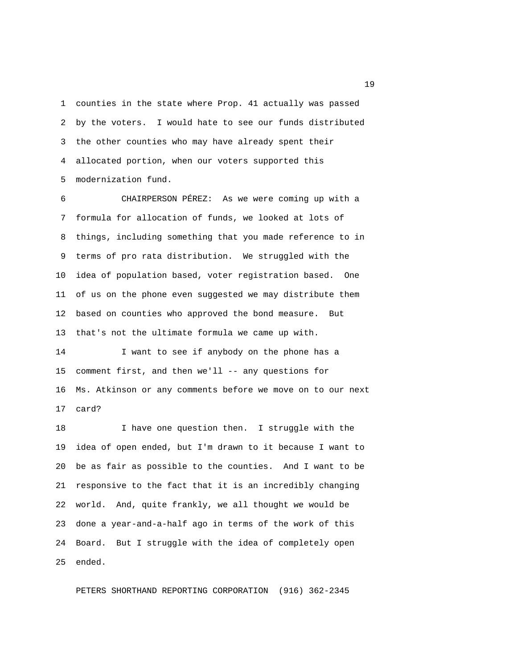1 counties in the state where Prop. 41 actually was passed 2 by the voters. I would hate to see our funds distributed 3 the other counties who may have already spent their 4 allocated portion, when our voters supported this 5 modernization fund.

 6 CHAIRPERSON PÉREZ: As we were coming up with a 7 formula for allocation of funds, we looked at lots of 8 things, including something that you made reference to in 9 terms of pro rata distribution. We struggled with the 10 idea of population based, voter registration based. One 11 of us on the phone even suggested we may distribute them 12 based on counties who approved the bond measure. But 13 that's not the ultimate formula we came up with.

14 I want to see if anybody on the phone has a 15 comment first, and then we'll -- any questions for 16 Ms. Atkinson or any comments before we move on to our next 17 card?

18 I have one question then. I struggle with the 19 idea of open ended, but I'm drawn to it because I want to 20 be as fair as possible to the counties. And I want to be 21 responsive to the fact that it is an incredibly changing 22 world. And, quite frankly, we all thought we would be 23 done a year-and-a-half ago in terms of the work of this 24 Board. But I struggle with the idea of completely open 25 ended.

PETERS SHORTHAND REPORTING CORPORATION (916) 362-2345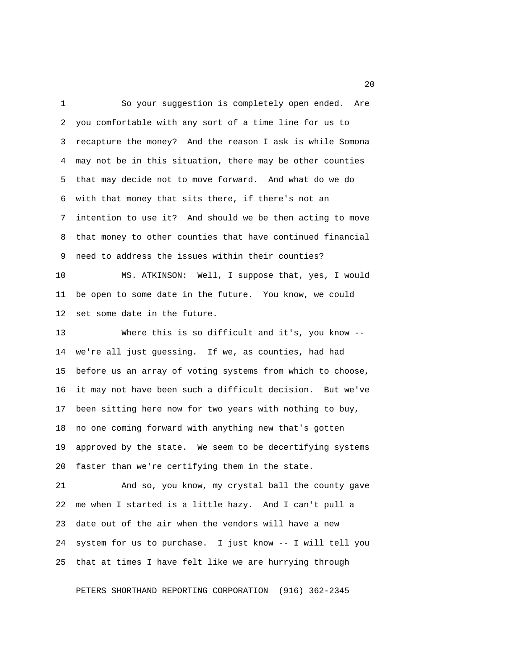1 So your suggestion is completely open ended. Are 2 you comfortable with any sort of a time line for us to 3 recapture the money? And the reason I ask is while Somona 4 may not be in this situation, there may be other counties 5 that may decide not to move forward. And what do we do 6 with that money that sits there, if there's not an 7 intention to use it? And should we be then acting to move 8 that money to other counties that have continued financial 9 need to address the issues within their counties?

10 MS. ATKINSON: Well, I suppose that, yes, I would 11 be open to some date in the future. You know, we could 12 set some date in the future.

13 Where this is so difficult and it's, you know -- 14 we're all just guessing. If we, as counties, had had 15 before us an array of voting systems from which to choose, 16 it may not have been such a difficult decision. But we've 17 been sitting here now for two years with nothing to buy, 18 no one coming forward with anything new that's gotten 19 approved by the state. We seem to be decertifying systems 20 faster than we're certifying them in the state.

21 And so, you know, my crystal ball the county gave 22 me when I started is a little hazy. And I can't pull a 23 date out of the air when the vendors will have a new 24 system for us to purchase. I just know -- I will tell you 25 that at times I have felt like we are hurrying through

PETERS SHORTHAND REPORTING CORPORATION (916) 362-2345

20 and 20 and 20 and 20 and 20 and 20 and 20 and 20 and 20 and 20 and 20 and 20 and 20 and 20 and 20 and 20 an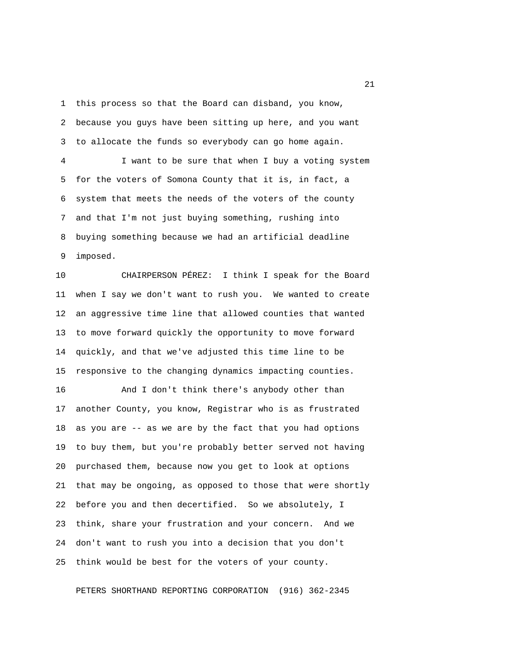1 this process so that the Board can disband, you know,

 2 because you guys have been sitting up here, and you want 3 to allocate the funds so everybody can go home again. 4 I want to be sure that when I buy a voting system 5 for the voters of Somona County that it is, in fact, a 6 system that meets the needs of the voters of the county 7 and that I'm not just buying something, rushing into 8 buying something because we had an artificial deadline 9 imposed.

10 CHAIRPERSON PÉREZ: I think I speak for the Board 11 when I say we don't want to rush you. We wanted to create 12 an aggressive time line that allowed counties that wanted 13 to move forward quickly the opportunity to move forward 14 quickly, and that we've adjusted this time line to be 15 responsive to the changing dynamics impacting counties.

16 And I don't think there's anybody other than 17 another County, you know, Registrar who is as frustrated 18 as you are -- as we are by the fact that you had options 19 to buy them, but you're probably better served not having 20 purchased them, because now you get to look at options 21 that may be ongoing, as opposed to those that were shortly 22 before you and then decertified. So we absolutely, I 23 think, share your frustration and your concern. And we 24 don't want to rush you into a decision that you don't 25 think would be best for the voters of your county.

PETERS SHORTHAND REPORTING CORPORATION (916) 362-2345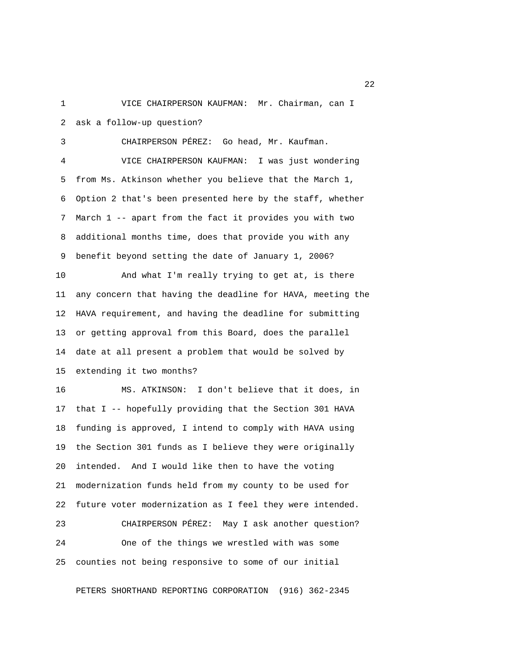1 VICE CHAIRPERSON KAUFMAN: Mr. Chairman, can I 2 ask a follow-up question?

 3 CHAIRPERSON PÉREZ: Go head, Mr. Kaufman. 4 VICE CHAIRPERSON KAUFMAN: I was just wondering 5 from Ms. Atkinson whether you believe that the March 1, 6 Option 2 that's been presented here by the staff, whether 7 March 1 -- apart from the fact it provides you with two 8 additional months time, does that provide you with any 9 benefit beyond setting the date of January 1, 2006? 10 And what I'm really trying to get at, is there 11 any concern that having the deadline for HAVA, meeting the 12 HAVA requirement, and having the deadline for submitting 13 or getting approval from this Board, does the parallel 14 date at all present a problem that would be solved by 15 extending it two months? 16 MS. ATKINSON: I don't believe that it does, in

17 that I -- hopefully providing that the Section 301 HAVA 18 funding is approved, I intend to comply with HAVA using 19 the Section 301 funds as I believe they were originally 20 intended. And I would like then to have the voting 21 modernization funds held from my county to be used for 22 future voter modernization as I feel they were intended.

23 CHAIRPERSON PÉREZ: May I ask another question? 24 One of the things we wrestled with was some 25 counties not being responsive to some of our initial

PETERS SHORTHAND REPORTING CORPORATION (916) 362-2345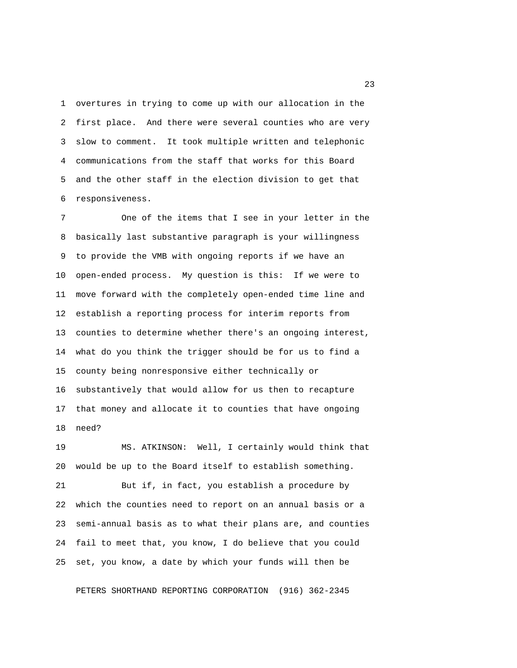1 overtures in trying to come up with our allocation in the 2 first place. And there were several counties who are very 3 slow to comment. It took multiple written and telephonic 4 communications from the staff that works for this Board 5 and the other staff in the election division to get that 6 responsiveness.

 7 One of the items that I see in your letter in the 8 basically last substantive paragraph is your willingness 9 to provide the VMB with ongoing reports if we have an 10 open-ended process. My question is this: If we were to 11 move forward with the completely open-ended time line and 12 establish a reporting process for interim reports from 13 counties to determine whether there's an ongoing interest, 14 what do you think the trigger should be for us to find a 15 county being nonresponsive either technically or 16 substantively that would allow for us then to recapture 17 that money and allocate it to counties that have ongoing 18 need?

19 MS. ATKINSON: Well, I certainly would think that 20 would be up to the Board itself to establish something. 21 But if, in fact, you establish a procedure by 22 which the counties need to report on an annual basis or a 23 semi-annual basis as to what their plans are, and counties 24 fail to meet that, you know, I do believe that you could 25 set, you know, a date by which your funds will then be

PETERS SHORTHAND REPORTING CORPORATION (916) 362-2345

23 and 23 and 23 and 23 and 23 and 23 and 23 and 23 and 23 and 23 and 23 and 23 and 23 and 23 and 23 and 23 and 23 and 23 and 23 and 23 and 23 and 23 and 24 and 25 and 25 and 25 and 25 and 25 and 25 and 26 and 26 and 26 an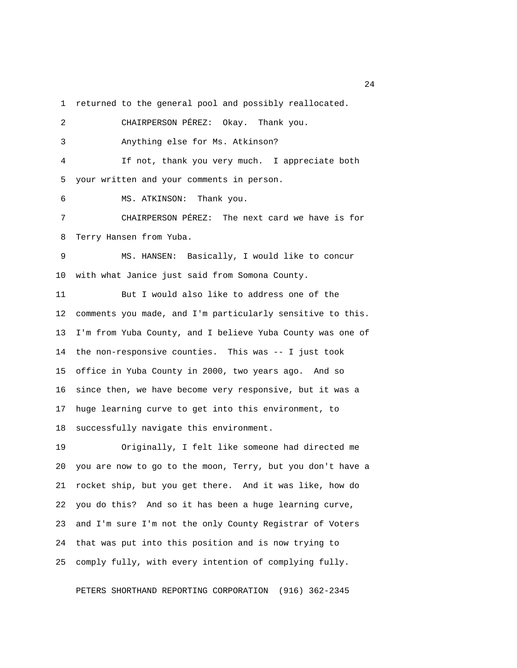1 returned to the general pool and possibly reallocated.

 2 CHAIRPERSON PÉREZ: Okay. Thank you. 3 Anything else for Ms. Atkinson? 4 If not, thank you very much. I appreciate both 5 your written and your comments in person. 6 MS. ATKINSON: Thank you. 7 CHAIRPERSON PÉREZ: The next card we have is for 8 Terry Hansen from Yuba. 9 MS. HANSEN: Basically, I would like to concur 10 with what Janice just said from Somona County. 11 But I would also like to address one of the 12 comments you made, and I'm particularly sensitive to this. 13 I'm from Yuba County, and I believe Yuba County was one of 14 the non-responsive counties. This was -- I just took 15 office in Yuba County in 2000, two years ago. And so 16 since then, we have become very responsive, but it was a 17 huge learning curve to get into this environment, to 18 successfully navigate this environment.

19 Originally, I felt like someone had directed me 20 you are now to go to the moon, Terry, but you don't have a 21 rocket ship, but you get there. And it was like, how do 22 you do this? And so it has been a huge learning curve, 23 and I'm sure I'm not the only County Registrar of Voters 24 that was put into this position and is now trying to 25 comply fully, with every intention of complying fully.

PETERS SHORTHAND REPORTING CORPORATION (916) 362-2345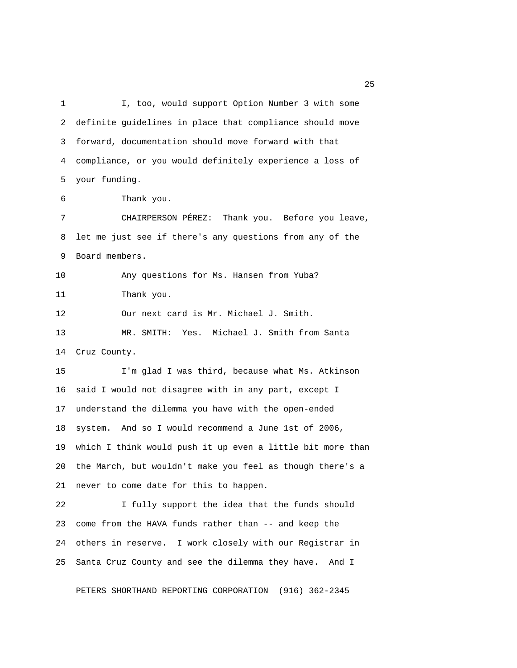1 I, too, would support Option Number 3 with some 2 definite guidelines in place that compliance should move 3 forward, documentation should move forward with that 4 compliance, or you would definitely experience a loss of 5 your funding. 6 Thank you. 7 CHAIRPERSON PÉREZ: Thank you. Before you leave, 8 let me just see if there's any questions from any of the 9 Board members. 10 Any questions for Ms. Hansen from Yuba? 11 Thank you. 12 Our next card is Mr. Michael J. Smith. 13 MR. SMITH: Yes. Michael J. Smith from Santa 14 Cruz County. 15 I'm glad I was third, because what Ms. Atkinson 16 said I would not disagree with in any part, except I 17 understand the dilemma you have with the open-ended 18 system. And so I would recommend a June 1st of 2006, 19 which I think would push it up even a little bit more than 20 the March, but wouldn't make you feel as though there's a 21 never to come date for this to happen. 22 I fully support the idea that the funds should 23 come from the HAVA funds rather than -- and keep the 24 others in reserve. I work closely with our Registrar in 25 Santa Cruz County and see the dilemma they have. And I

PETERS SHORTHAND REPORTING CORPORATION (916) 362-2345

25 and 25 and 25 and 25 and 25 and 25 and 25 and 25 and 25 and 25 and 25 and 25 and 25 and 25 and 25 and 25 and 25 and 25 and 25 and 25 and 25 and 25 and 25 and 25 and 25 and 25 and 25 and 25 and 25 and 26 and 26 and 26 an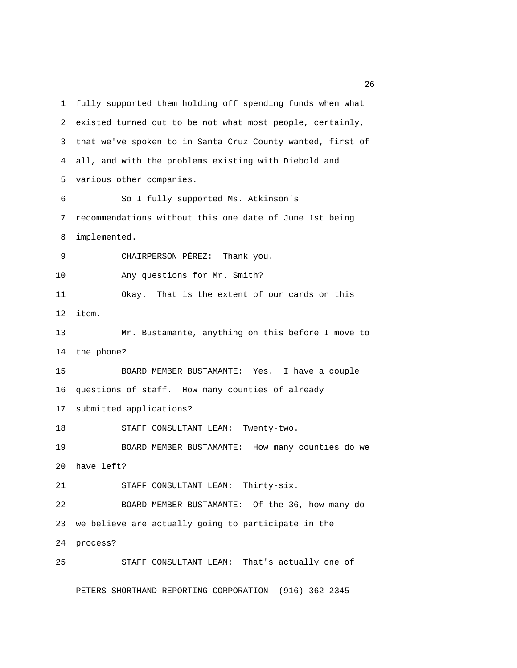1 fully supported them holding off spending funds when what 2 existed turned out to be not what most people, certainly, 3 that we've spoken to in Santa Cruz County wanted, first of 4 all, and with the problems existing with Diebold and 5 various other companies. 6 So I fully supported Ms. Atkinson's 7 recommendations without this one date of June 1st being 8 implemented. 9 CHAIRPERSON PÉREZ: Thank you. 10 Any questions for Mr. Smith? 11 Okay. That is the extent of our cards on this 12 item. 13 Mr. Bustamante, anything on this before I move to 14 the phone? 15 BOARD MEMBER BUSTAMANTE: Yes. I have a couple 16 questions of staff. How many counties of already 17 submitted applications? 18 STAFF CONSULTANT LEAN: Twenty-two. 19 BOARD MEMBER BUSTAMANTE: How many counties do we 20 have left? 21 STAFF CONSULTANT LEAN: Thirty-six. 22 BOARD MEMBER BUSTAMANTE: Of the 36, how many do 23 we believe are actually going to participate in the 24 process? 25 STAFF CONSULTANT LEAN: That's actually one of

PETERS SHORTHAND REPORTING CORPORATION (916) 362-2345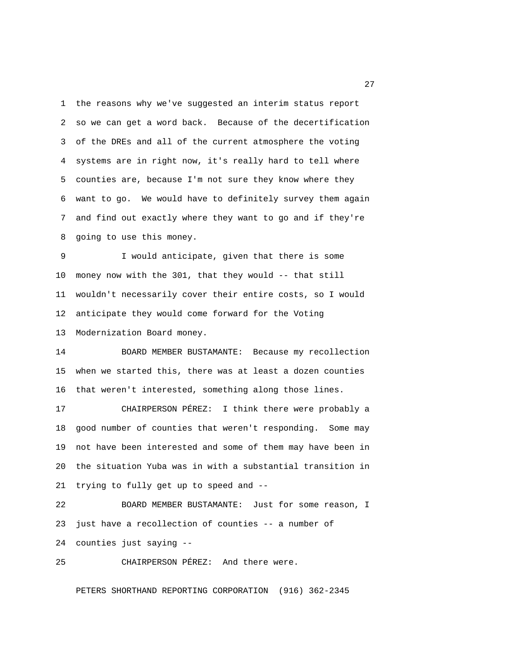1 the reasons why we've suggested an interim status report 2 so we can get a word back. Because of the decertification 3 of the DREs and all of the current atmosphere the voting 4 systems are in right now, it's really hard to tell where 5 counties are, because I'm not sure they know where they 6 want to go. We would have to definitely survey them again 7 and find out exactly where they want to go and if they're 8 going to use this money.

 9 I would anticipate, given that there is some 10 money now with the 301, that they would -- that still 11 wouldn't necessarily cover their entire costs, so I would 12 anticipate they would come forward for the Voting 13 Modernization Board money.

14 BOARD MEMBER BUSTAMANTE: Because my recollection 15 when we started this, there was at least a dozen counties 16 that weren't interested, something along those lines.

17 CHAIRPERSON PÉREZ: I think there were probably a 18 good number of counties that weren't responding. Some may 19 not have been interested and some of them may have been in 20 the situation Yuba was in with a substantial transition in 21 trying to fully get up to speed and --

22 BOARD MEMBER BUSTAMANTE: Just for some reason, I 23 just have a recollection of counties -- a number of 24 counties just saying --

25 CHAIRPERSON PÉREZ: And there were.

PETERS SHORTHAND REPORTING CORPORATION (916) 362-2345

27 and 27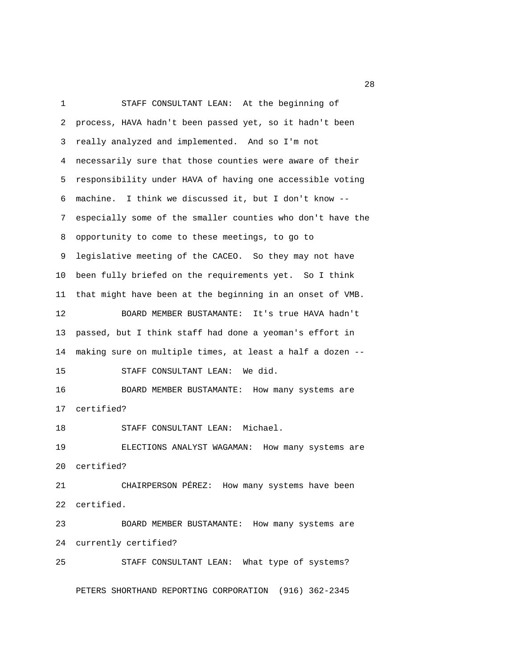1 STAFF CONSULTANT LEAN: At the beginning of 2 process, HAVA hadn't been passed yet, so it hadn't been 3 really analyzed and implemented. And so I'm not 4 necessarily sure that those counties were aware of their 5 responsibility under HAVA of having one accessible voting 6 machine. I think we discussed it, but I don't know -- 7 especially some of the smaller counties who don't have the 8 opportunity to come to these meetings, to go to 9 legislative meeting of the CACEO. So they may not have 10 been fully briefed on the requirements yet. So I think 11 that might have been at the beginning in an onset of VMB. 12 BOARD MEMBER BUSTAMANTE: It's true HAVA hadn't 13 passed, but I think staff had done a yeoman's effort in 14 making sure on multiple times, at least a half a dozen -- 15 STAFF CONSULTANT LEAN: We did. 16 BOARD MEMBER BUSTAMANTE: How many systems are 17 certified? 18 STAFF CONSULTANT LEAN: Michael. 19 ELECTIONS ANALYST WAGAMAN: How many systems are 20 certified? 21 CHAIRPERSON PÉREZ: How many systems have been 22 certified. 23 BOARD MEMBER BUSTAMANTE: How many systems are 24 currently certified? 25 STAFF CONSULTANT LEAN: What type of systems? PETERS SHORTHAND REPORTING CORPORATION (916) 362-2345

28 and 28 and 28 and 28 and 28 and 28 and 28 and 28 and 28 and 28 and 28 and 28 and 28 and 28 and 28 and 28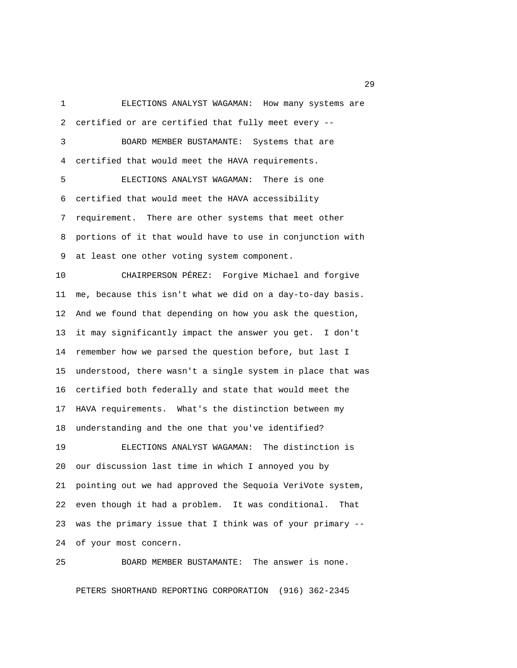1 ELECTIONS ANALYST WAGAMAN: How many systems are 2 certified or are certified that fully meet every -- 3 BOARD MEMBER BUSTAMANTE: Systems that are 4 certified that would meet the HAVA requirements. 5 ELECTIONS ANALYST WAGAMAN: There is one 6 certified that would meet the HAVA accessibility 7 requirement. There are other systems that meet other 8 portions of it that would have to use in conjunction with 9 at least one other voting system component. 10 CHAIRPERSON PÉREZ: Forgive Michael and forgive 11 me, because this isn't what we did on a day-to-day basis. 12 And we found that depending on how you ask the question,

13 it may significantly impact the answer you get. I don't 14 remember how we parsed the question before, but last I 15 understood, there wasn't a single system in place that was 16 certified both federally and state that would meet the 17 HAVA requirements. What's the distinction between my 18 understanding and the one that you've identified?

19 ELECTIONS ANALYST WAGAMAN: The distinction is 20 our discussion last time in which I annoyed you by 21 pointing out we had approved the Sequoia VeriVote system, 22 even though it had a problem. It was conditional. That 23 was the primary issue that I think was of your primary -- 24 of your most concern.

25 BOARD MEMBER BUSTAMANTE: The answer is none.

PETERS SHORTHAND REPORTING CORPORATION (916) 362-2345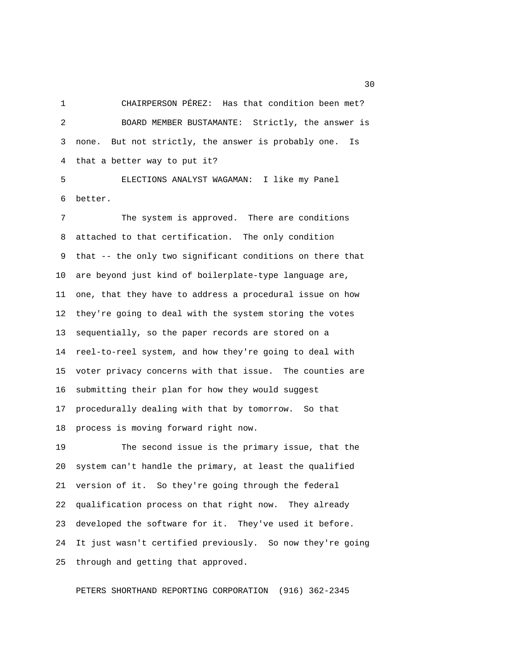1 CHAIRPERSON PÉREZ: Has that condition been met? 2 BOARD MEMBER BUSTAMANTE: Strictly, the answer is 3 none. But not strictly, the answer is probably one. Is 4 that a better way to put it?

 5 ELECTIONS ANALYST WAGAMAN: I like my Panel 6 better.

 7 The system is approved. There are conditions 8 attached to that certification. The only condition 9 that -- the only two significant conditions on there that 10 are beyond just kind of boilerplate-type language are, 11 one, that they have to address a procedural issue on how 12 they're going to deal with the system storing the votes 13 sequentially, so the paper records are stored on a 14 reel-to-reel system, and how they're going to deal with 15 voter privacy concerns with that issue. The counties are 16 submitting their plan for how they would suggest 17 procedurally dealing with that by tomorrow. So that 18 process is moving forward right now.

19 The second issue is the primary issue, that the 20 system can't handle the primary, at least the qualified 21 version of it. So they're going through the federal 22 qualification process on that right now. They already 23 developed the software for it. They've used it before. 24 It just wasn't certified previously. So now they're going 25 through and getting that approved.

PETERS SHORTHAND REPORTING CORPORATION (916) 362-2345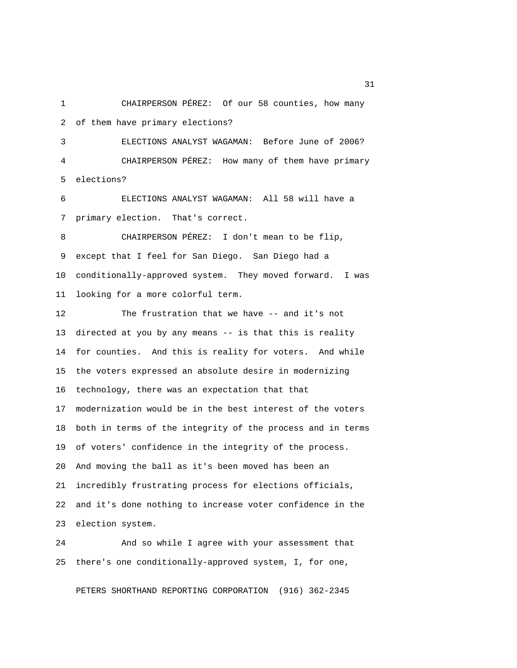1 CHAIRPERSON PÉREZ: Of our 58 counties, how many 2 of them have primary elections?

 3 ELECTIONS ANALYST WAGAMAN: Before June of 2006? 4 CHAIRPERSON PÉREZ: How many of them have primary 5 elections?

 6 ELECTIONS ANALYST WAGAMAN: All 58 will have a 7 primary election. That's correct.

 8 CHAIRPERSON PÉREZ: I don't mean to be flip, 9 except that I feel for San Diego. San Diego had a 10 conditionally-approved system. They moved forward. I was 11 looking for a more colorful term.

12 The frustration that we have -- and it's not 13 directed at you by any means -- is that this is reality 14 for counties. And this is reality for voters. And while 15 the voters expressed an absolute desire in modernizing 16 technology, there was an expectation that that 17 modernization would be in the best interest of the voters 18 both in terms of the integrity of the process and in terms 19 of voters' confidence in the integrity of the process. 20 And moving the ball as it's been moved has been an 21 incredibly frustrating process for elections officials, 22 and it's done nothing to increase voter confidence in the 23 election system.

24 And so while I agree with your assessment that 25 there's one conditionally-approved system, I, for one,

PETERS SHORTHAND REPORTING CORPORATION (916) 362-2345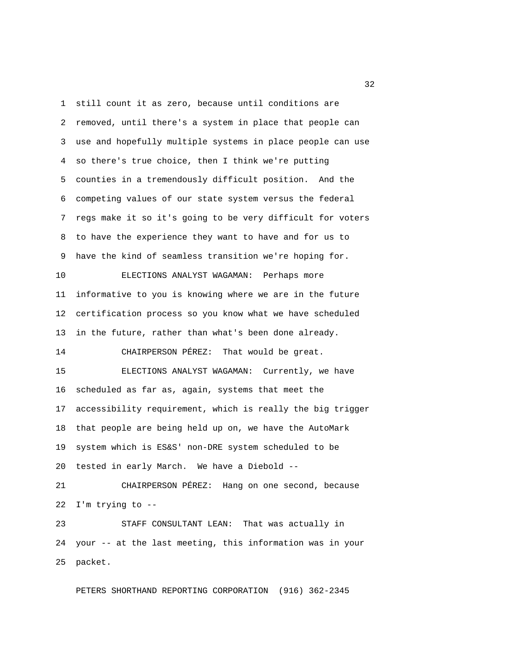1 still count it as zero, because until conditions are 2 removed, until there's a system in place that people can 3 use and hopefully multiple systems in place people can use 4 so there's true choice, then I think we're putting 5 counties in a tremendously difficult position. And the 6 competing values of our state system versus the federal 7 regs make it so it's going to be very difficult for voters 8 to have the experience they want to have and for us to 9 have the kind of seamless transition we're hoping for. 10 ELECTIONS ANALYST WAGAMAN: Perhaps more 11 informative to you is knowing where we are in the future 12 certification process so you know what we have scheduled 13 in the future, rather than what's been done already. 14 CHAIRPERSON PÉREZ: That would be great. 15 ELECTIONS ANALYST WAGAMAN: Currently, we have 16 scheduled as far as, again, systems that meet the 17 accessibility requirement, which is really the big trigger 18 that people are being held up on, we have the AutoMark 19 system which is ES&S' non-DRE system scheduled to be 20 tested in early March. We have a Diebold -- 21 CHAIRPERSON PÉREZ: Hang on one second, because 22 I'm trying to -- 23 STAFF CONSULTANT LEAN: That was actually in 24 your -- at the last meeting, this information was in your 25 packet.

PETERS SHORTHAND REPORTING CORPORATION (916) 362-2345

 $32<sup>2</sup>$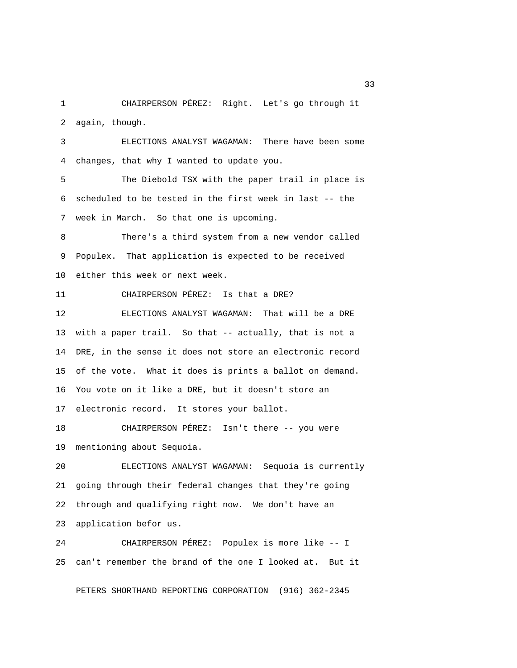1 CHAIRPERSON PÉREZ: Right. Let's go through it 2 again, though.

 3 ELECTIONS ANALYST WAGAMAN: There have been some 4 changes, that why I wanted to update you.

 5 The Diebold TSX with the paper trail in place is 6 scheduled to be tested in the first week in last -- the 7 week in March. So that one is upcoming.

 8 There's a third system from a new vendor called 9 Populex. That application is expected to be received 10 either this week or next week.

11 CHAIRPERSON PÉREZ: Is that a DRE?

12 ELECTIONS ANALYST WAGAMAN: That will be a DRE 13 with a paper trail. So that -- actually, that is not a 14 DRE, in the sense it does not store an electronic record 15 of the vote. What it does is prints a ballot on demand. 16 You vote on it like a DRE, but it doesn't store an 17 electronic record. It stores your ballot.

18 CHAIRPERSON PÉREZ: Isn't there -- you were 19 mentioning about Sequoia.

20 ELECTIONS ANALYST WAGAMAN: Sequoia is currently 21 going through their federal changes that they're going 22 through and qualifying right now. We don't have an 23 application befor us.

24 CHAIRPERSON PÉREZ: Populex is more like -- I 25 can't remember the brand of the one I looked at. But it

PETERS SHORTHAND REPORTING CORPORATION (916) 362-2345

 $33<sup>2</sup>$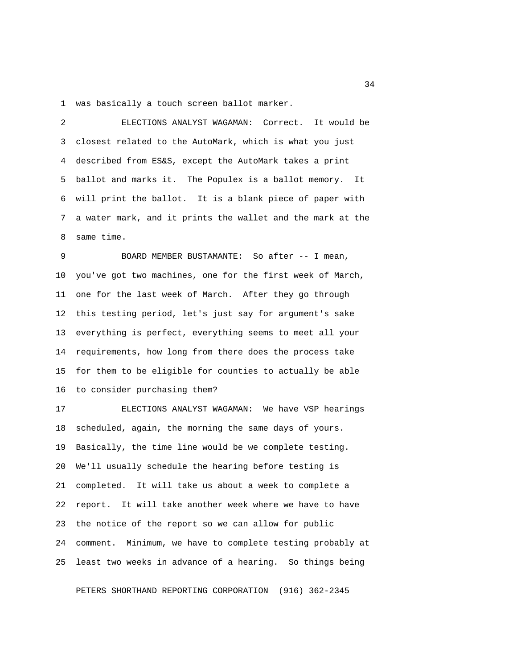1 was basically a touch screen ballot marker.

 2 ELECTIONS ANALYST WAGAMAN: Correct. It would be 3 closest related to the AutoMark, which is what you just 4 described from ES&S, except the AutoMark takes a print 5 ballot and marks it. The Populex is a ballot memory. It 6 will print the ballot. It is a blank piece of paper with 7 a water mark, and it prints the wallet and the mark at the 8 same time.

 9 BOARD MEMBER BUSTAMANTE: So after -- I mean, 10 you've got two machines, one for the first week of March, 11 one for the last week of March. After they go through 12 this testing period, let's just say for argument's sake 13 everything is perfect, everything seems to meet all your 14 requirements, how long from there does the process take 15 for them to be eligible for counties to actually be able 16 to consider purchasing them?

17 ELECTIONS ANALYST WAGAMAN: We have VSP hearings 18 scheduled, again, the morning the same days of yours. 19 Basically, the time line would be we complete testing. 20 We'll usually schedule the hearing before testing is 21 completed. It will take us about a week to complete a 22 report. It will take another week where we have to have 23 the notice of the report so we can allow for public 24 comment. Minimum, we have to complete testing probably at 25 least two weeks in advance of a hearing. So things being

PETERS SHORTHAND REPORTING CORPORATION (916) 362-2345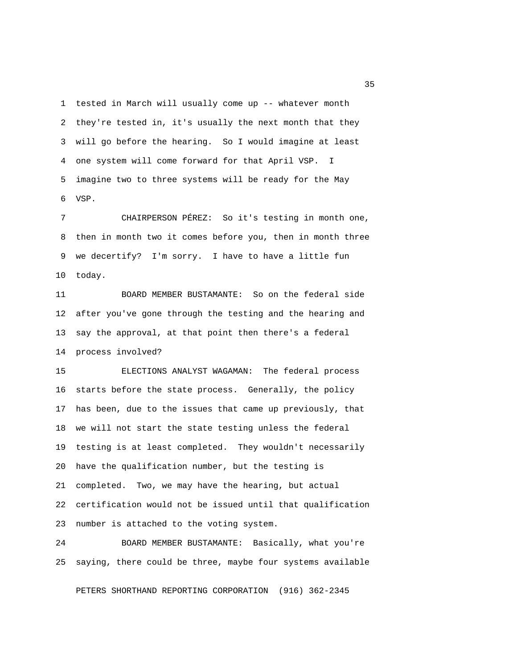1 tested in March will usually come up -- whatever month 2 they're tested in, it's usually the next month that they 3 will go before the hearing. So I would imagine at least 4 one system will come forward for that April VSP. I 5 imagine two to three systems will be ready for the May 6 VSP.

 7 CHAIRPERSON PÉREZ: So it's testing in month one, 8 then in month two it comes before you, then in month three 9 we decertify? I'm sorry. I have to have a little fun 10 today.

11 BOARD MEMBER BUSTAMANTE: So on the federal side 12 after you've gone through the testing and the hearing and 13 say the approval, at that point then there's a federal 14 process involved?

15 ELECTIONS ANALYST WAGAMAN: The federal process 16 starts before the state process. Generally, the policy 17 has been, due to the issues that came up previously, that 18 we will not start the state testing unless the federal 19 testing is at least completed. They wouldn't necessarily 20 have the qualification number, but the testing is 21 completed. Two, we may have the hearing, but actual 22 certification would not be issued until that qualification 23 number is attached to the voting system.

24 BOARD MEMBER BUSTAMANTE: Basically, what you're 25 saying, there could be three, maybe four systems available

PETERS SHORTHAND REPORTING CORPORATION (916) 362-2345

<u>35</u>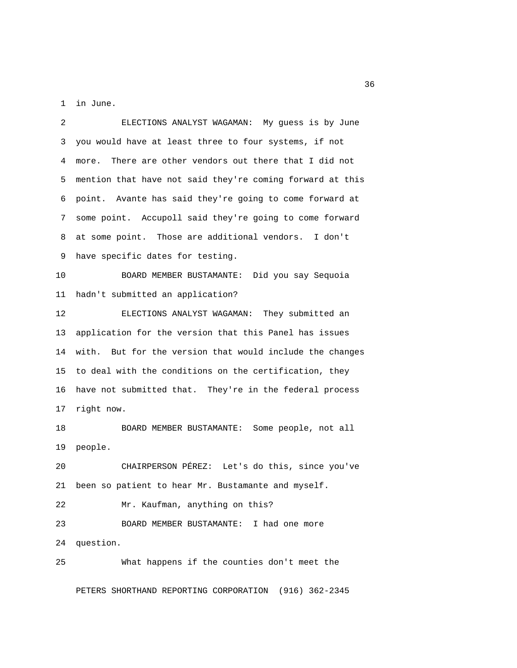1 in June.

 2 ELECTIONS ANALYST WAGAMAN: My guess is by June 3 you would have at least three to four systems, if not 4 more. There are other vendors out there that I did not 5 mention that have not said they're coming forward at this 6 point. Avante has said they're going to come forward at 7 some point. Accupoll said they're going to come forward 8 at some point. Those are additional vendors. I don't 9 have specific dates for testing. 10 BOARD MEMBER BUSTAMANTE: Did you say Sequoia 11 hadn't submitted an application? 12 ELECTIONS ANALYST WAGAMAN: They submitted an 13 application for the version that this Panel has issues 14 with. But for the version that would include the changes 15 to deal with the conditions on the certification, they 16 have not submitted that. They're in the federal process 17 right now. 18 BOARD MEMBER BUSTAMANTE: Some people, not all 19 people. 20 CHAIRPERSON PÉREZ: Let's do this, since you've 21 been so patient to hear Mr. Bustamante and myself. 22 Mr. Kaufman, anything on this? 23 BOARD MEMBER BUSTAMANTE: I had one more 24 question. 25 What happens if the counties don't meet the

PETERS SHORTHAND REPORTING CORPORATION (916) 362-2345

 $36<sup>2</sup>$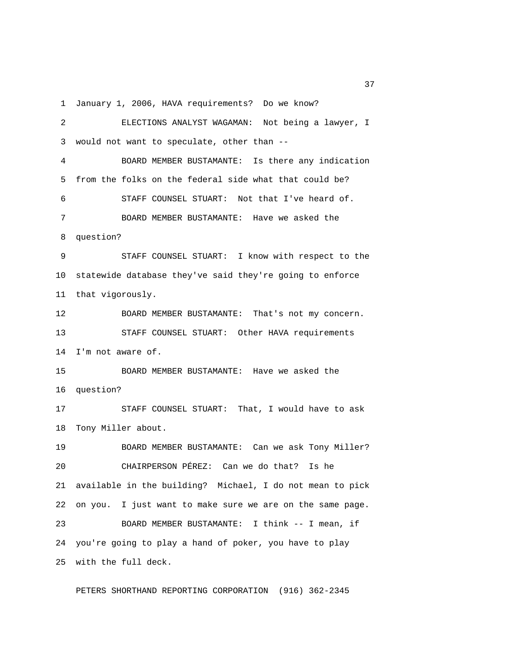1 January 1, 2006, HAVA requirements? Do we know?

 2 ELECTIONS ANALYST WAGAMAN: Not being a lawyer, I 3 would not want to speculate, other than -- 4 BOARD MEMBER BUSTAMANTE: Is there any indication 5 from the folks on the federal side what that could be? 6 STAFF COUNSEL STUART: Not that I've heard of. 7 BOARD MEMBER BUSTAMANTE: Have we asked the 8 question? 9 STAFF COUNSEL STUART: I know with respect to the 10 statewide database they've said they're going to enforce 11 that vigorously. 12 BOARD MEMBER BUSTAMANTE: That's not my concern. 13 STAFF COUNSEL STUART: Other HAVA requirements 14 I'm not aware of. 15 BOARD MEMBER BUSTAMANTE: Have we asked the 16 question? 17 STAFF COUNSEL STUART: That, I would have to ask 18 Tony Miller about. 19 BOARD MEMBER BUSTAMANTE: Can we ask Tony Miller? 20 CHAIRPERSON PÉREZ: Can we do that? Is he 21 available in the building? Michael, I do not mean to pick 22 on you. I just want to make sure we are on the same page. 23 BOARD MEMBER BUSTAMANTE: I think -- I mean, if 24 you're going to play a hand of poker, you have to play 25 with the full deck.

PETERS SHORTHAND REPORTING CORPORATION (916) 362-2345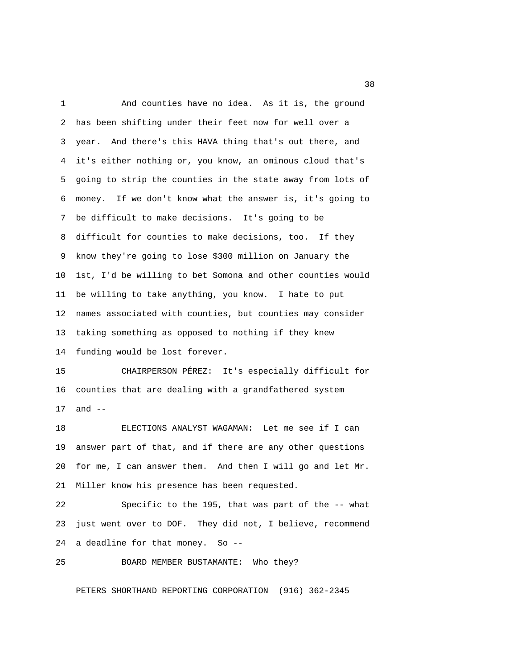1 And counties have no idea. As it is, the ground 2 has been shifting under their feet now for well over a 3 year. And there's this HAVA thing that's out there, and 4 it's either nothing or, you know, an ominous cloud that's 5 going to strip the counties in the state away from lots of 6 money. If we don't know what the answer is, it's going to 7 be difficult to make decisions. It's going to be 8 difficult for counties to make decisions, too. If they 9 know they're going to lose \$300 million on January the 10 1st, I'd be willing to bet Somona and other counties would 11 be willing to take anything, you know. I hate to put 12 names associated with counties, but counties may consider 13 taking something as opposed to nothing if they knew 14 funding would be lost forever. 15 CHAIRPERSON PÉREZ: It's especially difficult for

16 counties that are dealing with a grandfathered system 17 and --

18 ELECTIONS ANALYST WAGAMAN: Let me see if I can 19 answer part of that, and if there are any other questions 20 for me, I can answer them. And then I will go and let Mr. 21 Miller know his presence has been requested.

22 Specific to the 195, that was part of the -- what 23 just went over to DOF. They did not, I believe, recommend 24 a deadline for that money. So --

25 BOARD MEMBER BUSTAMANTE: Who they?

PETERS SHORTHAND REPORTING CORPORATION (916) 362-2345

<u>38</u> and the state of the state of the state of the state of the state of the state of the state of the state of the state of the state of the state of the state of the state of the state of the state of the state of the s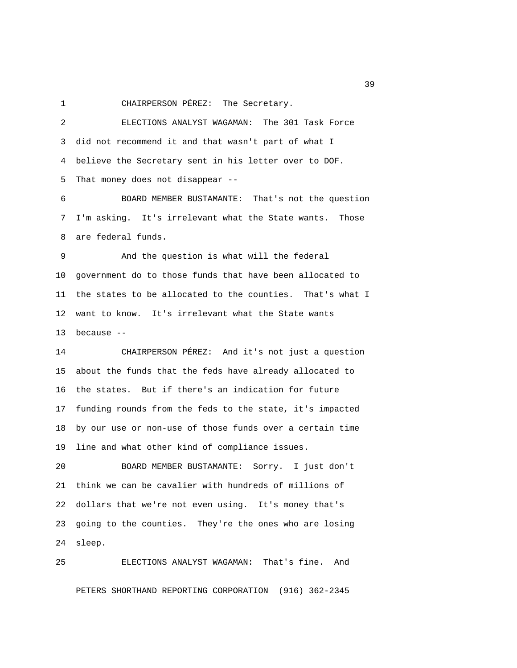1 CHAIRPERSON PÉREZ: The Secretary.

 2 ELECTIONS ANALYST WAGAMAN: The 301 Task Force 3 did not recommend it and that wasn't part of what I 4 believe the Secretary sent in his letter over to DOF. 5 That money does not disappear -- 6 BOARD MEMBER BUSTAMANTE: That's not the question 7 I'm asking. It's irrelevant what the State wants. Those 8 are federal funds. 9 And the question is what will the federal 10 government do to those funds that have been allocated to 11 the states to be allocated to the counties. That's what I 12 want to know. It's irrelevant what the State wants 13 because -- 14 CHAIRPERSON PÉREZ: And it's not just a question 15 about the funds that the feds have already allocated to 16 the states. But if there's an indication for future 17 funding rounds from the feds to the state, it's impacted

18 by our use or non-use of those funds over a certain time 19 line and what other kind of compliance issues.

20 BOARD MEMBER BUSTAMANTE: Sorry. I just don't 21 think we can be cavalier with hundreds of millions of 22 dollars that we're not even using. It's money that's 23 going to the counties. They're the ones who are losing 24 sleep.

25 ELECTIONS ANALYST WAGAMAN: That's fine. And PETERS SHORTHAND REPORTING CORPORATION (916) 362-2345

 $39<sup>2</sup>$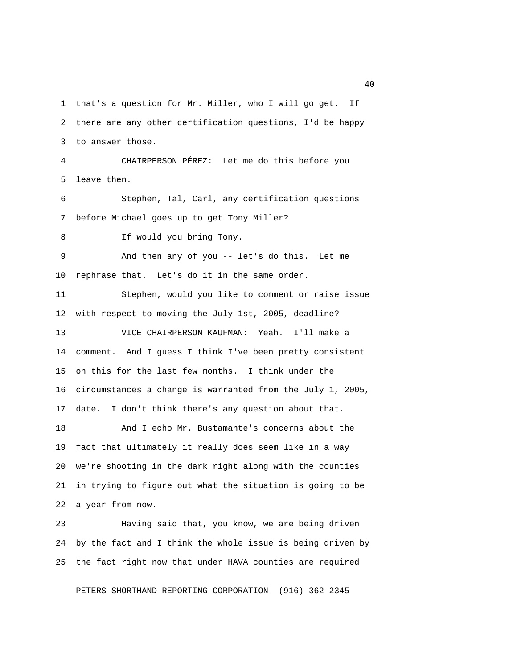1 that's a question for Mr. Miller, who I will go get. If 2 there are any other certification questions, I'd be happy 3 to answer those. 4 CHAIRPERSON PÉREZ: Let me do this before you 5 leave then. 6 Stephen, Tal, Carl, any certification questions 7 before Michael goes up to get Tony Miller? 8 If would you bring Tony. 9 And then any of you -- let's do this. Let me 10 rephrase that. Let's do it in the same order. 11 Stephen, would you like to comment or raise issue 12 with respect to moving the July 1st, 2005, deadline? 13 VICE CHAIRPERSON KAUFMAN: Yeah. I'll make a 14 comment. And I guess I think I've been pretty consistent 15 on this for the last few months. I think under the 16 circumstances a change is warranted from the July 1, 2005, 17 date. I don't think there's any question about that. 18 And I echo Mr. Bustamante's concerns about the 19 fact that ultimately it really does seem like in a way 20 we're shooting in the dark right along with the counties 21 in trying to figure out what the situation is going to be 22 a year from now. 23 Having said that, you know, we are being driven

24 by the fact and I think the whole issue is being driven by 25 the fact right now that under HAVA counties are required

PETERS SHORTHAND REPORTING CORPORATION (916) 362-2345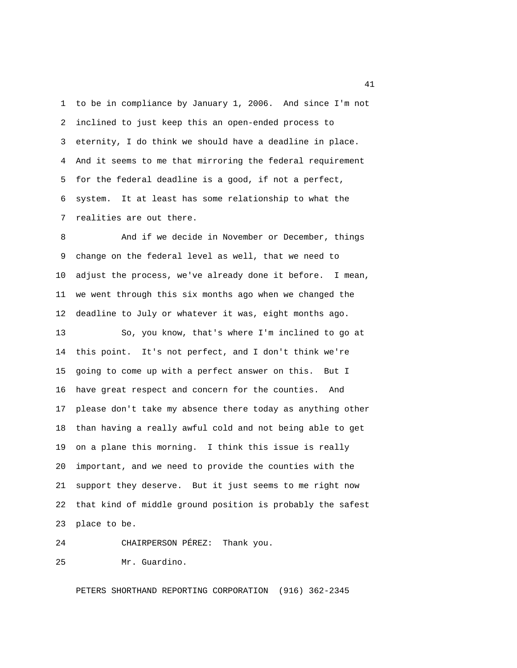1 to be in compliance by January 1, 2006. And since I'm not 2 inclined to just keep this an open-ended process to 3 eternity, I do think we should have a deadline in place. 4 And it seems to me that mirroring the federal requirement 5 for the federal deadline is a good, if not a perfect, 6 system. It at least has some relationship to what the 7 realities are out there.

 8 And if we decide in November or December, things 9 change on the federal level as well, that we need to 10 adjust the process, we've already done it before. I mean, 11 we went through this six months ago when we changed the 12 deadline to July or whatever it was, eight months ago. 13 So, you know, that's where I'm inclined to go at 14 this point. It's not perfect, and I don't think we're 15 going to come up with a perfect answer on this. But I 16 have great respect and concern for the counties. And 17 please don't take my absence there today as anything other 18 than having a really awful cold and not being able to get 19 on a plane this morning. I think this issue is really 20 important, and we need to provide the counties with the 21 support they deserve. But it just seems to me right now 22 that kind of middle ground position is probably the safest 23 place to be.

24 CHAIRPERSON PÉREZ: Thank you.

25 Mr. Guardino.

PETERS SHORTHAND REPORTING CORPORATION (916) 362-2345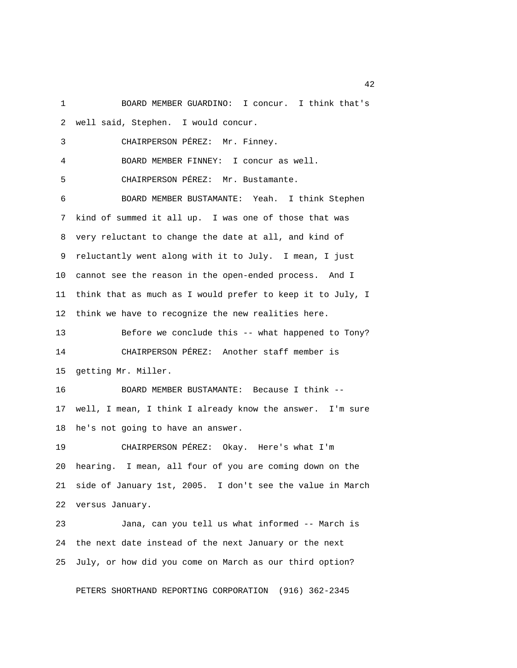1 BOARD MEMBER GUARDINO: I concur. I think that's 2 well said, Stephen. I would concur. 3 CHAIRPERSON PÉREZ: Mr. Finney. 4 BOARD MEMBER FINNEY: I concur as well. 5 CHAIRPERSON PÉREZ: Mr. Bustamante. 6 BOARD MEMBER BUSTAMANTE: Yeah. I think Stephen 7 kind of summed it all up. I was one of those that was 8 very reluctant to change the date at all, and kind of 9 reluctantly went along with it to July. I mean, I just 10 cannot see the reason in the open-ended process. And I 11 think that as much as I would prefer to keep it to July, I 12 think we have to recognize the new realities here. 13 Before we conclude this -- what happened to Tony? 14 CHAIRPERSON PÉREZ: Another staff member is 15 getting Mr. Miller. 16 BOARD MEMBER BUSTAMANTE: Because I think -- 17 well, I mean, I think I already know the answer. I'm sure 18 he's not going to have an answer. 19 CHAIRPERSON PÉREZ: Okay. Here's what I'm 20 hearing. I mean, all four of you are coming down on the 21 side of January 1st, 2005. I don't see the value in March 22 versus January.

23 Jana, can you tell us what informed -- March is 24 the next date instead of the next January or the next 25 July, or how did you come on March as our third option?

PETERS SHORTHAND REPORTING CORPORATION (916) 362-2345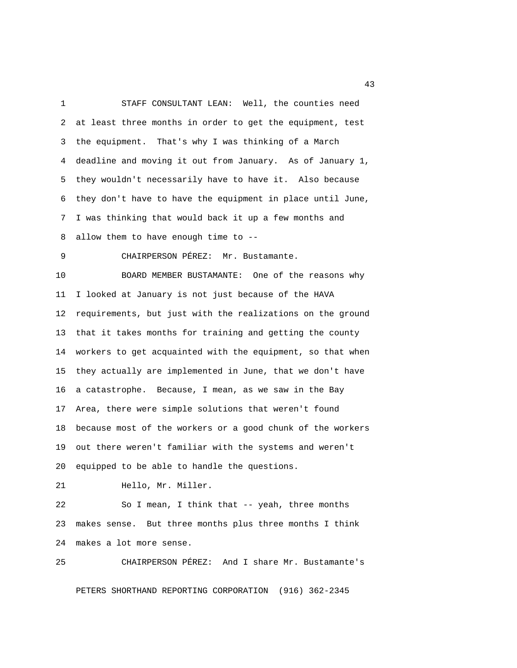1 STAFF CONSULTANT LEAN: Well, the counties need 2 at least three months in order to get the equipment, test 3 the equipment. That's why I was thinking of a March 4 deadline and moving it out from January. As of January 1, 5 they wouldn't necessarily have to have it. Also because 6 they don't have to have the equipment in place until June, 7 I was thinking that would back it up a few months and 8 allow them to have enough time to -- 9 CHAIRPERSON PÉREZ: Mr. Bustamante. 10 BOARD MEMBER BUSTAMANTE: One of the reasons why 11 I looked at January is not just because of the HAVA 12 requirements, but just with the realizations on the ground 13 that it takes months for training and getting the county 14 workers to get acquainted with the equipment, so that when 15 they actually are implemented in June, that we don't have 16 a catastrophe. Because, I mean, as we saw in the Bay 17 Area, there were simple solutions that weren't found 18 because most of the workers or a good chunk of the workers 19 out there weren't familiar with the systems and weren't 20 equipped to be able to handle the questions. 21 Hello, Mr. Miller.

22 So I mean, I think that -- yeah, three months

23 makes sense. But three months plus three months I think 24 makes a lot more sense.

25 CHAIRPERSON PÉREZ: And I share Mr. Bustamante's

PETERS SHORTHAND REPORTING CORPORATION (916) 362-2345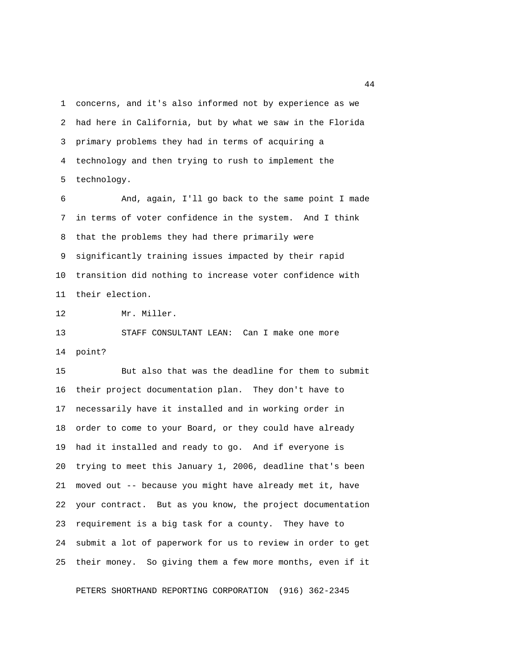1 concerns, and it's also informed not by experience as we 2 had here in California, but by what we saw in the Florida 3 primary problems they had in terms of acquiring a 4 technology and then trying to rush to implement the 5 technology.

 6 And, again, I'll go back to the same point I made 7 in terms of voter confidence in the system. And I think 8 that the problems they had there primarily were 9 significantly training issues impacted by their rapid 10 transition did nothing to increase voter confidence with 11 their election.

12 Mr. Miller.

13 STAFF CONSULTANT LEAN: Can I make one more 14 point?

15 But also that was the deadline for them to submit 16 their project documentation plan. They don't have to 17 necessarily have it installed and in working order in 18 order to come to your Board, or they could have already 19 had it installed and ready to go. And if everyone is 20 trying to meet this January 1, 2006, deadline that's been 21 moved out -- because you might have already met it, have 22 your contract. But as you know, the project documentation 23 requirement is a big task for a county. They have to 24 submit a lot of paperwork for us to review in order to get 25 their money. So giving them a few more months, even if it

PETERS SHORTHAND REPORTING CORPORATION (916) 362-2345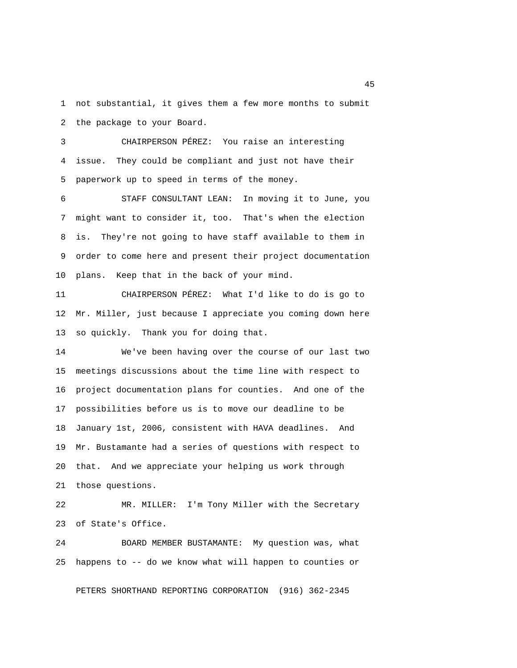1 not substantial, it gives them a few more months to submit 2 the package to your Board.

 3 CHAIRPERSON PÉREZ: You raise an interesting 4 issue. They could be compliant and just not have their 5 paperwork up to speed in terms of the money.

 6 STAFF CONSULTANT LEAN: In moving it to June, you 7 might want to consider it, too. That's when the election 8 is. They're not going to have staff available to them in 9 order to come here and present their project documentation 10 plans. Keep that in the back of your mind.

11 CHAIRPERSON PÉREZ: What I'd like to do is go to 12 Mr. Miller, just because I appreciate you coming down here 13 so quickly. Thank you for doing that.

14 We've been having over the course of our last two 15 meetings discussions about the time line with respect to 16 project documentation plans for counties. And one of the 17 possibilities before us is to move our deadline to be 18 January 1st, 2006, consistent with HAVA deadlines. And 19 Mr. Bustamante had a series of questions with respect to 20 that. And we appreciate your helping us work through 21 those questions.

22 MR. MILLER: I'm Tony Miller with the Secretary 23 of State's Office.

24 BOARD MEMBER BUSTAMANTE: My question was, what 25 happens to -- do we know what will happen to counties or

PETERS SHORTHAND REPORTING CORPORATION (916) 362-2345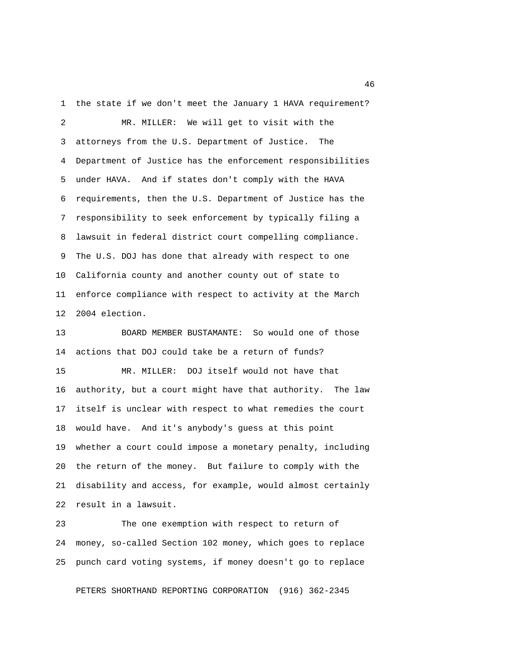1 the state if we don't meet the January 1 HAVA requirement?

 2 MR. MILLER: We will get to visit with the 3 attorneys from the U.S. Department of Justice. The 4 Department of Justice has the enforcement responsibilities 5 under HAVA. And if states don't comply with the HAVA 6 requirements, then the U.S. Department of Justice has the 7 responsibility to seek enforcement by typically filing a 8 lawsuit in federal district court compelling compliance. 9 The U.S. DOJ has done that already with respect to one 10 California county and another county out of state to 11 enforce compliance with respect to activity at the March 12 2004 election.

13 BOARD MEMBER BUSTAMANTE: So would one of those 14 actions that DOJ could take be a return of funds?

15 MR. MILLER: DOJ itself would not have that 16 authority, but a court might have that authority. The law 17 itself is unclear with respect to what remedies the court 18 would have. And it's anybody's guess at this point 19 whether a court could impose a monetary penalty, including 20 the return of the money. But failure to comply with the 21 disability and access, for example, would almost certainly 22 result in a lawsuit.

23 The one exemption with respect to return of 24 money, so-called Section 102 money, which goes to replace 25 punch card voting systems, if money doesn't go to replace

PETERS SHORTHAND REPORTING CORPORATION (916) 362-2345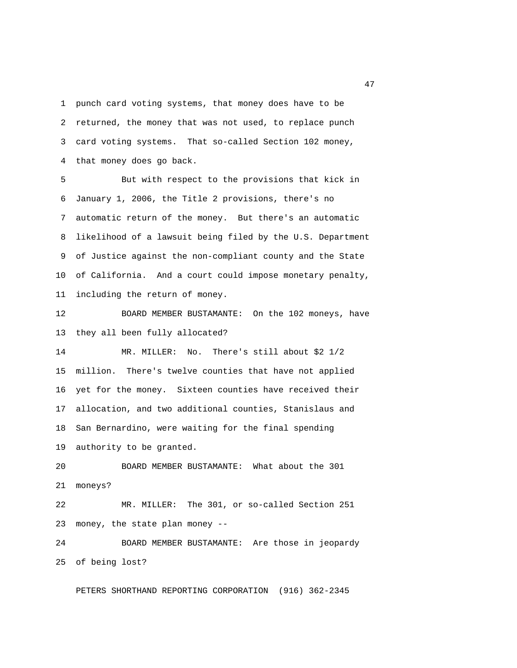1 punch card voting systems, that money does have to be 2 returned, the money that was not used, to replace punch 3 card voting systems. That so-called Section 102 money, 4 that money does go back.

 5 But with respect to the provisions that kick in 6 January 1, 2006, the Title 2 provisions, there's no 7 automatic return of the money. But there's an automatic 8 likelihood of a lawsuit being filed by the U.S. Department 9 of Justice against the non-compliant county and the State 10 of California. And a court could impose monetary penalty, 11 including the return of money.

12 BOARD MEMBER BUSTAMANTE: On the 102 moneys, have 13 they all been fully allocated?

14 MR. MILLER: No. There's still about \$2 1/2 15 million. There's twelve counties that have not applied 16 yet for the money. Sixteen counties have received their 17 allocation, and two additional counties, Stanislaus and 18 San Bernardino, were waiting for the final spending 19 authority to be granted.

20 BOARD MEMBER BUSTAMANTE: What about the 301 21 moneys?

22 MR. MILLER: The 301, or so-called Section 251 23 money, the state plan money --

24 BOARD MEMBER BUSTAMANTE: Are those in jeopardy 25 of being lost?

PETERS SHORTHAND REPORTING CORPORATION (916) 362-2345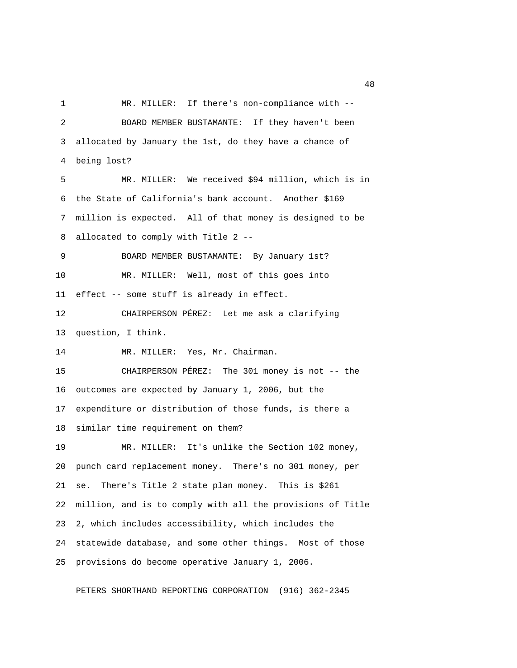1 MR. MILLER: If there's non-compliance with -- 2 BOARD MEMBER BUSTAMANTE: If they haven't been 3 allocated by January the 1st, do they have a chance of 4 being lost? 5 MR. MILLER: We received \$94 million, which is in 6 the State of California's bank account. Another \$169 7 million is expected. All of that money is designed to be 8 allocated to comply with Title 2 -- 9 BOARD MEMBER BUSTAMANTE: By January 1st? 10 MR. MILLER: Well, most of this goes into 11 effect -- some stuff is already in effect. 12 CHAIRPERSON PÉREZ: Let me ask a clarifying 13 question, I think. 14 MR. MILLER: Yes, Mr. Chairman. 15 CHAIRPERSON PÉREZ: The 301 money is not -- the 16 outcomes are expected by January 1, 2006, but the 17 expenditure or distribution of those funds, is there a 18 similar time requirement on them? 19 MR. MILLER: It's unlike the Section 102 money, 20 punch card replacement money. There's no 301 money, per 21 se. There's Title 2 state plan money. This is \$261 22 million, and is to comply with all the provisions of Title 23 2, which includes accessibility, which includes the 24 statewide database, and some other things. Most of those 25 provisions do become operative January 1, 2006.

PETERS SHORTHAND REPORTING CORPORATION (916) 362-2345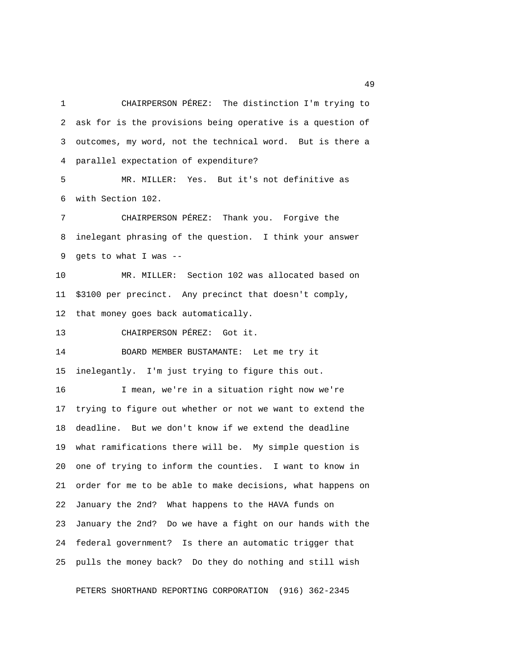1 CHAIRPERSON PÉREZ: The distinction I'm trying to 2 ask for is the provisions being operative is a question of 3 outcomes, my word, not the technical word. But is there a 4 parallel expectation of expenditure?

 5 MR. MILLER: Yes. But it's not definitive as 6 with Section 102.

 7 CHAIRPERSON PÉREZ: Thank you. Forgive the 8 inelegant phrasing of the question. I think your answer 9 gets to what I was --

10 MR. MILLER: Section 102 was allocated based on 11 \$3100 per precinct. Any precinct that doesn't comply, 12 that money goes back automatically.

13 CHAIRPERSON PÉREZ: Got it.

14 BOARD MEMBER BUSTAMANTE: Let me try it 15 inelegantly. I'm just trying to figure this out.

16 I mean, we're in a situation right now we're 17 trying to figure out whether or not we want to extend the 18 deadline. But we don't know if we extend the deadline 19 what ramifications there will be. My simple question is 20 one of trying to inform the counties. I want to know in 21 order for me to be able to make decisions, what happens on 22 January the 2nd? What happens to the HAVA funds on 23 January the 2nd? Do we have a fight on our hands with the 24 federal government? Is there an automatic trigger that 25 pulls the money back? Do they do nothing and still wish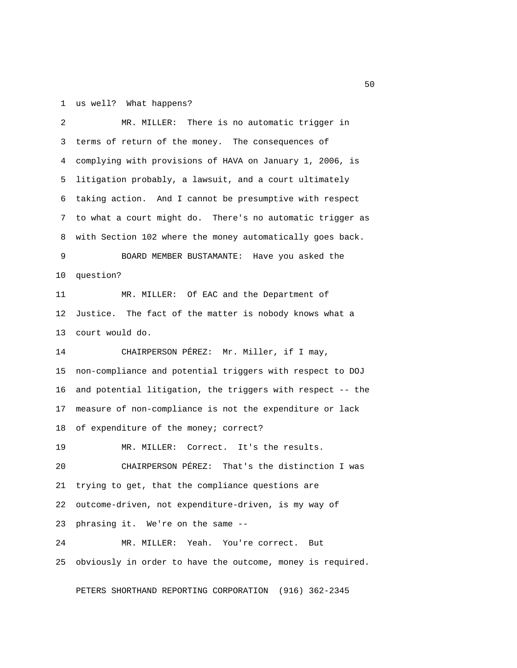#### 1 us well? What happens?

 2 MR. MILLER: There is no automatic trigger in 3 terms of return of the money. The consequences of 4 complying with provisions of HAVA on January 1, 2006, is 5 litigation probably, a lawsuit, and a court ultimately 6 taking action. And I cannot be presumptive with respect 7 to what a court might do. There's no automatic trigger as 8 with Section 102 where the money automatically goes back. 9 BOARD MEMBER BUSTAMANTE: Have you asked the 10 question? 11 MR. MILLER: Of EAC and the Department of 12 Justice. The fact of the matter is nobody knows what a 13 court would do. 14 CHAIRPERSON PÉREZ: Mr. Miller, if I may, 15 non-compliance and potential triggers with respect to DOJ 16 and potential litigation, the triggers with respect -- the 17 measure of non-compliance is not the expenditure or lack 18 of expenditure of the money; correct? 19 MR. MILLER: Correct. It's the results. 20 CHAIRPERSON PÉREZ: That's the distinction I was 21 trying to get, that the compliance questions are 22 outcome-driven, not expenditure-driven, is my way of 23 phrasing it. We're on the same -- 24 MR. MILLER: Yeah. You're correct. But 25 obviously in order to have the outcome, money is required.

PETERS SHORTHAND REPORTING CORPORATION (916) 362-2345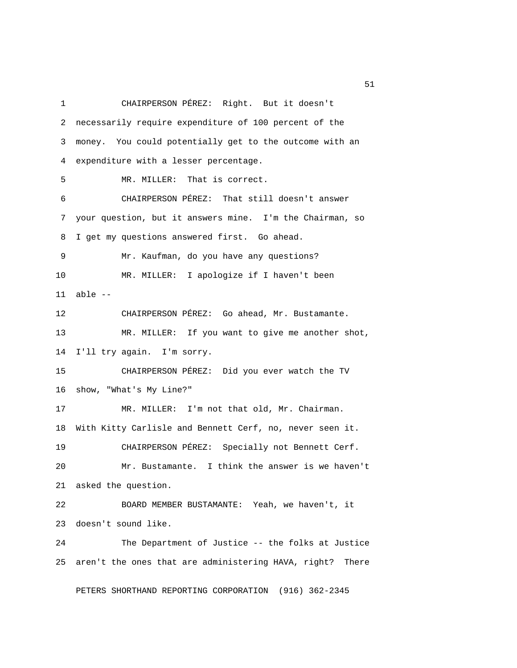1 CHAIRPERSON PÉREZ: Right. But it doesn't 2 necessarily require expenditure of 100 percent of the 3 money. You could potentially get to the outcome with an 4 expenditure with a lesser percentage. 5 MR. MILLER: That is correct. 6 CHAIRPERSON PÉREZ: That still doesn't answer 7 your question, but it answers mine. I'm the Chairman, so 8 I get my questions answered first. Go ahead. 9 Mr. Kaufman, do you have any questions? 10 MR. MILLER: I apologize if I haven't been 11 able -- 12 CHAIRPERSON PÉREZ: Go ahead, Mr. Bustamante. 13 MR. MILLER: If you want to give me another shot, 14 I'll try again. I'm sorry. 15 CHAIRPERSON PÉREZ: Did you ever watch the TV 16 show, "What's My Line?" 17 MR. MILLER: I'm not that old, Mr. Chairman. 18 With Kitty Carlisle and Bennett Cerf, no, never seen it. 19 CHAIRPERSON PÉREZ: Specially not Bennett Cerf. 20 Mr. Bustamante. I think the answer is we haven't 21 asked the question. 22 BOARD MEMBER BUSTAMANTE: Yeah, we haven't, it 23 doesn't sound like. 24 The Department of Justice -- the folks at Justice 25 aren't the ones that are administering HAVA, right? There

PETERS SHORTHAND REPORTING CORPORATION (916) 362-2345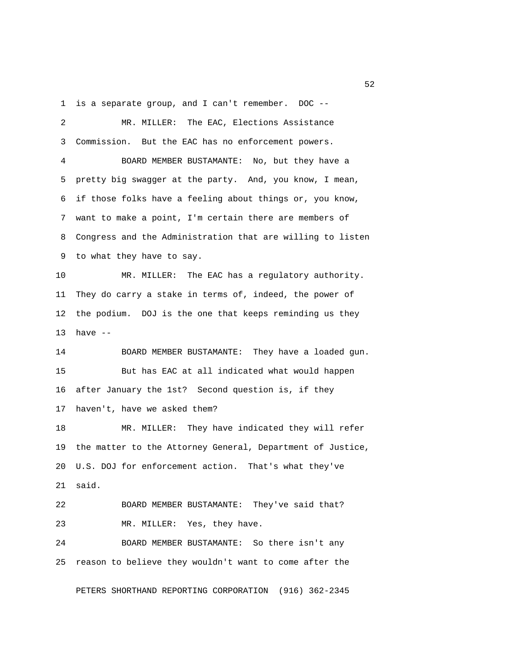1 is a separate group, and I can't remember. DOC --

 2 MR. MILLER: The EAC, Elections Assistance 3 Commission. But the EAC has no enforcement powers. 4 BOARD MEMBER BUSTAMANTE: No, but they have a 5 pretty big swagger at the party. And, you know, I mean, 6 if those folks have a feeling about things or, you know, 7 want to make a point, I'm certain there are members of 8 Congress and the Administration that are willing to listen 9 to what they have to say. 10 MR. MILLER: The EAC has a regulatory authority. 11 They do carry a stake in terms of, indeed, the power of 12 the podium. DOJ is the one that keeps reminding us they 13 have -- 14 BOARD MEMBER BUSTAMANTE: They have a loaded gun. 15 But has EAC at all indicated what would happen 16 after January the 1st? Second question is, if they 17 haven't, have we asked them? 18 MR. MILLER: They have indicated they will refer 19 the matter to the Attorney General, Department of Justice, 20 U.S. DOJ for enforcement action. That's what they've 21 said. 22 BOARD MEMBER BUSTAMANTE: They've said that? 23 MR. MILLER: Yes, they have. 24 BOARD MEMBER BUSTAMANTE: So there isn't any 25 reason to believe they wouldn't want to come after the PETERS SHORTHAND REPORTING CORPORATION (916) 362-2345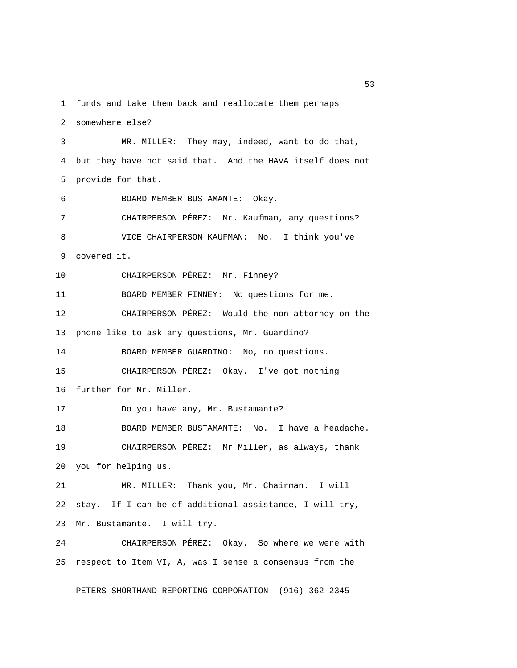1 funds and take them back and reallocate them perhaps

2 somewhere else?

 3 MR. MILLER: They may, indeed, want to do that, 4 but they have not said that. And the HAVA itself does not 5 provide for that. 6 BOARD MEMBER BUSTAMANTE: Okay. 7 CHAIRPERSON PÉREZ: Mr. Kaufman, any questions? 8 VICE CHAIRPERSON KAUFMAN: No. I think you've 9 covered it. 10 CHAIRPERSON PÉREZ: Mr. Finney? 11 BOARD MEMBER FINNEY: No questions for me. 12 CHAIRPERSON PÉREZ: Would the non-attorney on the 13 phone like to ask any questions, Mr. Guardino? 14 BOARD MEMBER GUARDINO: No, no questions. 15 CHAIRPERSON PÉREZ: Okay. I've got nothing 16 further for Mr. Miller. 17 Do you have any, Mr. Bustamante? 18 BOARD MEMBER BUSTAMANTE: No. I have a headache. 19 CHAIRPERSON PÉREZ: Mr Miller, as always, thank 20 you for helping us. 21 MR. MILLER: Thank you, Mr. Chairman. I will 22 stay. If I can be of additional assistance, I will try, 23 Mr. Bustamante. I will try. 24 CHAIRPERSON PÉREZ: Okay. So where we were with 25 respect to Item VI, A, was I sense a consensus from the

PETERS SHORTHAND REPORTING CORPORATION (916) 362-2345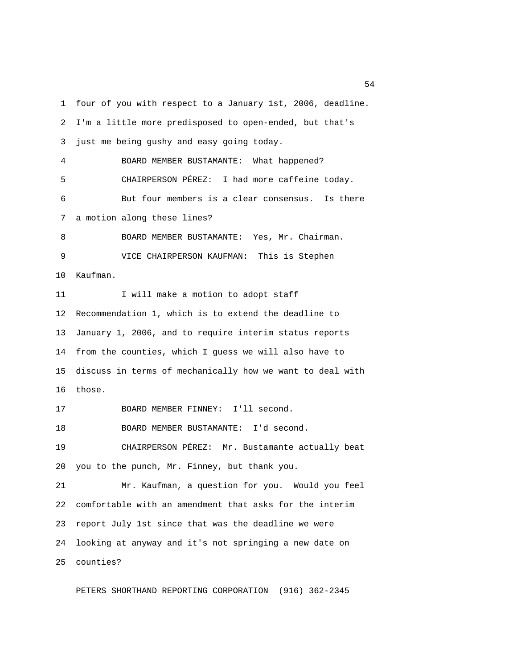1 four of you with respect to a January 1st, 2006, deadline. 2 I'm a little more predisposed to open-ended, but that's 3 just me being gushy and easy going today. 4 BOARD MEMBER BUSTAMANTE: What happened? 5 CHAIRPERSON PÉREZ: I had more caffeine today. 6 But four members is a clear consensus. Is there 7 a motion along these lines? 8 BOARD MEMBER BUSTAMANTE: Yes, Mr. Chairman. 9 VICE CHAIRPERSON KAUFMAN: This is Stephen 10 Kaufman. 11 I will make a motion to adopt staff 12 Recommendation 1, which is to extend the deadline to 13 January 1, 2006, and to require interim status reports 14 from the counties, which I guess we will also have to 15 discuss in terms of mechanically how we want to deal with 16 those. 17 BOARD MEMBER FINNEY: I'll second. 18 BOARD MEMBER BUSTAMANTE: I'd second. 19 CHAIRPERSON PÉREZ: Mr. Bustamante actually beat 20 you to the punch, Mr. Finney, but thank you. 21 Mr. Kaufman, a question for you. Would you feel 22 comfortable with an amendment that asks for the interim 23 report July 1st since that was the deadline we were 24 looking at anyway and it's not springing a new date on 25 counties?

PETERS SHORTHAND REPORTING CORPORATION (916) 362-2345

 $54<sup>th</sup>$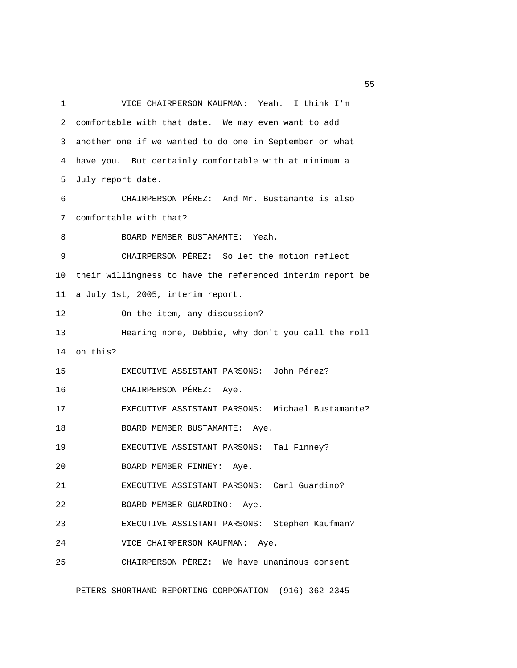1 VICE CHAIRPERSON KAUFMAN: Yeah. I think I'm 2 comfortable with that date. We may even want to add 3 another one if we wanted to do one in September or what 4 have you. But certainly comfortable with at minimum a 5 July report date. 6 CHAIRPERSON PÉREZ: And Mr. Bustamante is also 7 comfortable with that? 8 BOARD MEMBER BUSTAMANTE: Yeah. 9 CHAIRPERSON PÉREZ: So let the motion reflect 10 their willingness to have the referenced interim report be 11 a July 1st, 2005, interim report. 12 On the item, any discussion? 13 Hearing none, Debbie, why don't you call the roll 14 on this? 15 EXECUTIVE ASSISTANT PARSONS: John Pérez? 16 CHAIRPERSON PÉREZ: Aye. 17 EXECUTIVE ASSISTANT PARSONS: Michael Bustamante? 18 BOARD MEMBER BUSTAMANTE: Aye. 19 EXECUTIVE ASSISTANT PARSONS: Tal Finney? 20 BOARD MEMBER FINNEY: Aye. 21 EXECUTIVE ASSISTANT PARSONS: Carl Guardino? 22 BOARD MEMBER GUARDINO: Aye. 23 EXECUTIVE ASSISTANT PARSONS: Stephen Kaufman? 24 VICE CHAIRPERSON KAUFMAN: Aye. 25 CHAIRPERSON PÉREZ: We have unanimous consent

PETERS SHORTHAND REPORTING CORPORATION (916) 362-2345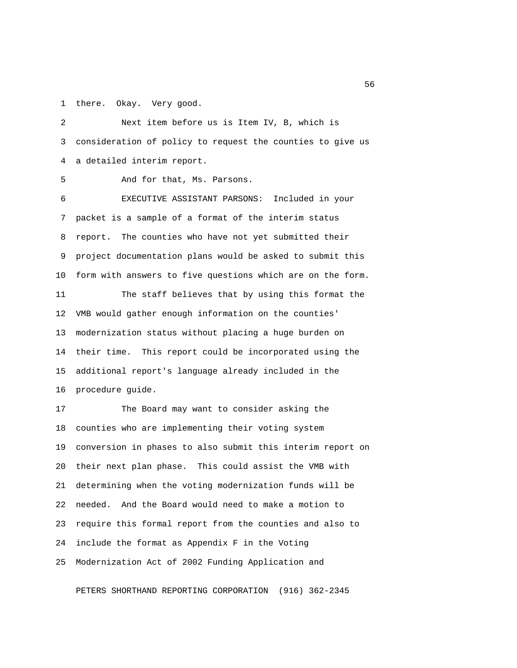1 there. Okay. Very good.

 2 Next item before us is Item IV, B, which is 3 consideration of policy to request the counties to give us 4 a detailed interim report.

5 And for that, Ms. Parsons.

 6 EXECUTIVE ASSISTANT PARSONS: Included in your 7 packet is a sample of a format of the interim status 8 report. The counties who have not yet submitted their 9 project documentation plans would be asked to submit this 10 form with answers to five questions which are on the form.

11 The staff believes that by using this format the 12 VMB would gather enough information on the counties' 13 modernization status without placing a huge burden on 14 their time. This report could be incorporated using the 15 additional report's language already included in the 16 procedure guide.

17 The Board may want to consider asking the 18 counties who are implementing their voting system 19 conversion in phases to also submit this interim report on 20 their next plan phase. This could assist the VMB with 21 determining when the voting modernization funds will be 22 needed. And the Board would need to make a motion to 23 require this formal report from the counties and also to 24 include the format as Appendix F in the Voting 25 Modernization Act of 2002 Funding Application and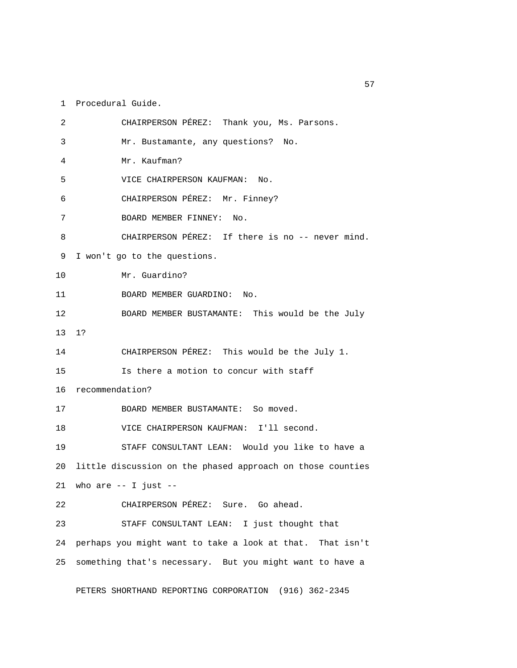1 Procedural Guide.

 2 CHAIRPERSON PÉREZ: Thank you, Ms. Parsons. 3 Mr. Bustamante, any questions? No. 4 Mr. Kaufman? 5 VICE CHAIRPERSON KAUFMAN: No. 6 CHAIRPERSON PÉREZ: Mr. Finney? 7 BOARD MEMBER FINNEY: No. 8 CHAIRPERSON PÉREZ: If there is no -- never mind. 9 I won't go to the questions. 10 Mr. Guardino? 11 BOARD MEMBER GUARDINO: No. 12 BOARD MEMBER BUSTAMANTE: This would be the July 13 1? 14 CHAIRPERSON PÉREZ: This would be the July 1. 15 Is there a motion to concur with staff 16 recommendation? 17 BOARD MEMBER BUSTAMANTE: So moved. 18 VICE CHAIRPERSON KAUFMAN: I'll second. 19 STAFF CONSULTANT LEAN: Would you like to have a 20 little discussion on the phased approach on those counties  $21$  who are  $-$  I just  $-$ 22 CHAIRPERSON PÉREZ: Sure. Go ahead. 23 STAFF CONSULTANT LEAN: I just thought that 24 perhaps you might want to take a look at that. That isn't 25 something that's necessary. But you might want to have a

PETERS SHORTHAND REPORTING CORPORATION (916) 362-2345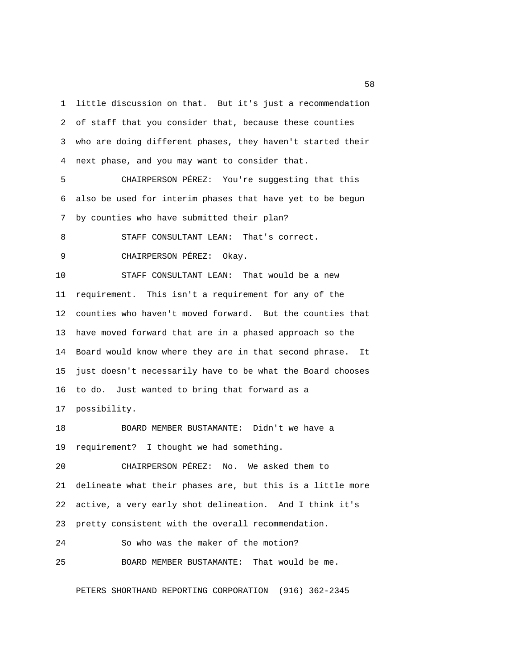1 little discussion on that. But it's just a recommendation 2 of staff that you consider that, because these counties 3 who are doing different phases, they haven't started their 4 next phase, and you may want to consider that.

 5 CHAIRPERSON PÉREZ: You're suggesting that this 6 also be used for interim phases that have yet to be begun 7 by counties who have submitted their plan?

 8 STAFF CONSULTANT LEAN: That's correct. 9 CHAIRPERSON PÉREZ: Okay.

10 STAFF CONSULTANT LEAN: That would be a new 11 requirement. This isn't a requirement for any of the 12 counties who haven't moved forward. But the counties that 13 have moved forward that are in a phased approach so the 14 Board would know where they are in that second phrase. It 15 just doesn't necessarily have to be what the Board chooses 16 to do. Just wanted to bring that forward as a 17 possibility.

18 BOARD MEMBER BUSTAMANTE: Didn't we have a 19 requirement? I thought we had something.

20 CHAIRPERSON PÉREZ: No. We asked them to 21 delineate what their phases are, but this is a little more 22 active, a very early shot delineation. And I think it's 23 pretty consistent with the overall recommendation.

24 So who was the maker of the motion?

25 BOARD MEMBER BUSTAMANTE: That would be me.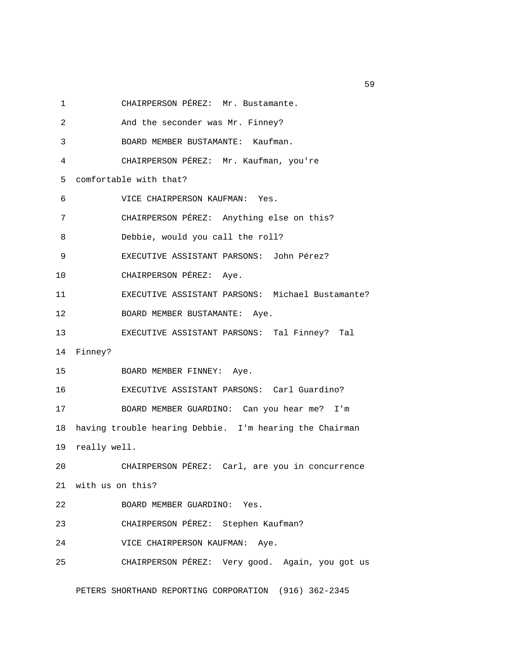1 CHAIRPERSON PÉREZ: Mr. Bustamante.

2 And the seconder was Mr. Finney?

3 BOARD MEMBER BUSTAMANTE: Kaufman.

4 CHAIRPERSON PÉREZ: Mr. Kaufman, you're

5 comfortable with that?

6 VICE CHAIRPERSON KAUFMAN: Yes.

7 CHAIRPERSON PÉREZ: Anything else on this?

8 Debbie, would you call the roll?

9 EXECUTIVE ASSISTANT PARSONS: John Pérez?

10 CHAIRPERSON PÉREZ: Aye.

11 EXECUTIVE ASSISTANT PARSONS: Michael Bustamante?

12 BOARD MEMBER BUSTAMANTE: Aye.

13 EXECUTIVE ASSISTANT PARSONS: Tal Finney? Tal

14 Finney?

15 BOARD MEMBER FINNEY: Aye.

16 EXECUTIVE ASSISTANT PARSONS: Carl Guardino? 17 BOARD MEMBER GUARDINO: Can you hear me? I'm 18 having trouble hearing Debbie. I'm hearing the Chairman

19 really well.

20 CHAIRPERSON PÉREZ: Carl, are you in concurrence 21 with us on this?

22 BOARD MEMBER GUARDINO: Yes.

23 CHAIRPERSON PÉREZ: Stephen Kaufman?

24 VICE CHAIRPERSON KAUFMAN: Aye.

25 CHAIRPERSON PÉREZ: Very good. Again, you got us

PETERS SHORTHAND REPORTING CORPORATION (916) 362-2345

 $59<sub>59</sub>$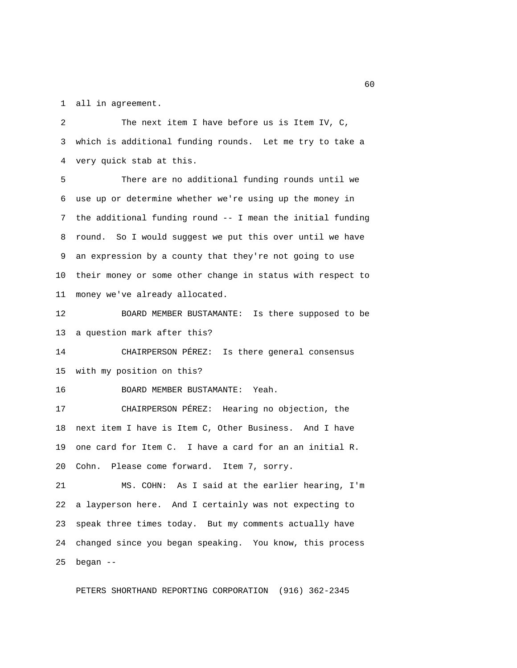1 all in agreement.

 2 The next item I have before us is Item IV, C, 3 which is additional funding rounds. Let me try to take a 4 very quick stab at this.

 5 There are no additional funding rounds until we 6 use up or determine whether we're using up the money in 7 the additional funding round -- I mean the initial funding 8 round. So I would suggest we put this over until we have 9 an expression by a county that they're not going to use 10 their money or some other change in status with respect to 11 money we've already allocated.

12 BOARD MEMBER BUSTAMANTE: Is there supposed to be 13 a question mark after this?

14 CHAIRPERSON PÉREZ: Is there general consensus 15 with my position on this?

16 BOARD MEMBER BUSTAMANTE: Yeah.

17 CHAIRPERSON PÉREZ: Hearing no objection, the 18 next item I have is Item C, Other Business. And I have 19 one card for Item C. I have a card for an an initial R. 20 Cohn. Please come forward. Item 7, sorry.

21 MS. COHN: As I said at the earlier hearing, I'm 22 a layperson here. And I certainly was not expecting to 23 speak three times today. But my comments actually have 24 changed since you began speaking. You know, this process 25 began --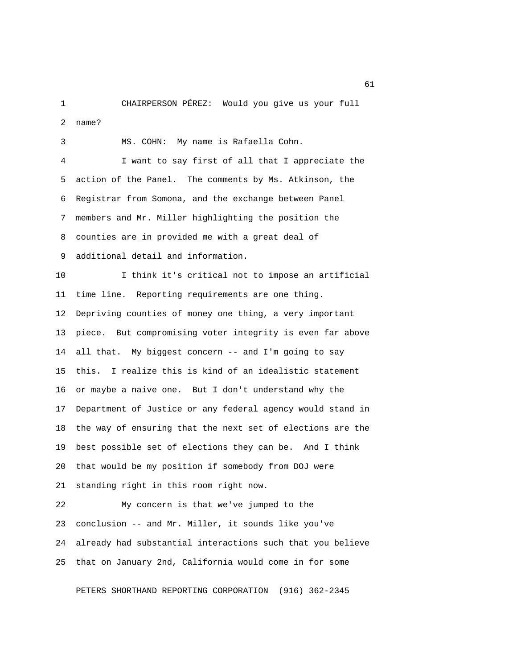1 CHAIRPERSON PÉREZ: Would you give us your full 2 name?

 3 MS. COHN: My name is Rafaella Cohn. 4 I want to say first of all that I appreciate the 5 action of the Panel. The comments by Ms. Atkinson, the 6 Registrar from Somona, and the exchange between Panel 7 members and Mr. Miller highlighting the position the 8 counties are in provided me with a great deal of 9 additional detail and information. 10 I think it's critical not to impose an artificial 11 time line. Reporting requirements are one thing. 12 Depriving counties of money one thing, a very important 13 piece. But compromising voter integrity is even far above 14 all that. My biggest concern -- and I'm going to say 15 this. I realize this is kind of an idealistic statement 16 or maybe a naive one. But I don't understand why the 17 Department of Justice or any federal agency would stand in 18 the way of ensuring that the next set of elections are the 19 best possible set of elections they can be. And I think 20 that would be my position if somebody from DOJ were 21 standing right in this room right now. 22 My concern is that we've jumped to the 23 conclusion -- and Mr. Miller, it sounds like you've 24 already had substantial interactions such that you believe

PETERS SHORTHAND REPORTING CORPORATION (916) 362-2345

25 that on January 2nd, California would come in for some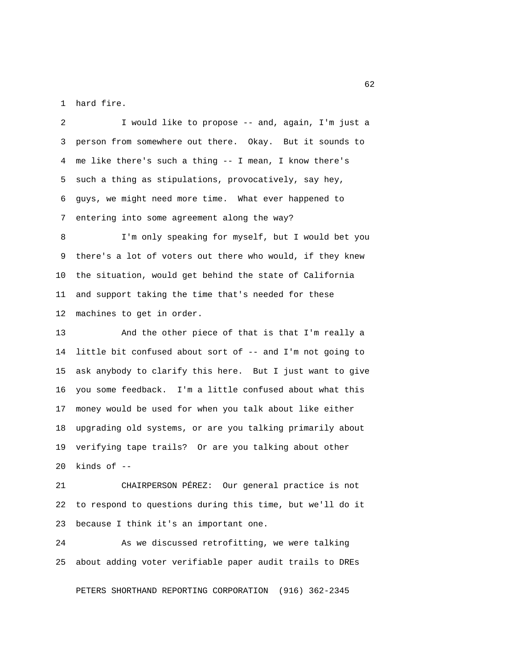1 hard fire.

 2 I would like to propose -- and, again, I'm just a 3 person from somewhere out there. Okay. But it sounds to 4 me like there's such a thing -- I mean, I know there's 5 such a thing as stipulations, provocatively, say hey, 6 guys, we might need more time. What ever happened to 7 entering into some agreement along the way?

 8 I'm only speaking for myself, but I would bet you 9 there's a lot of voters out there who would, if they knew 10 the situation, would get behind the state of California 11 and support taking the time that's needed for these 12 machines to get in order.

13 And the other piece of that is that I'm really a 14 little bit confused about sort of -- and I'm not going to 15 ask anybody to clarify this here. But I just want to give 16 you some feedback. I'm a little confused about what this 17 money would be used for when you talk about like either 18 upgrading old systems, or are you talking primarily about 19 verifying tape trails? Or are you talking about other 20 kinds of --

21 CHAIRPERSON PÉREZ: Our general practice is not 22 to respond to questions during this time, but we'll do it 23 because I think it's an important one.

24 As we discussed retrofitting, we were talking 25 about adding voter verifiable paper audit trails to DREs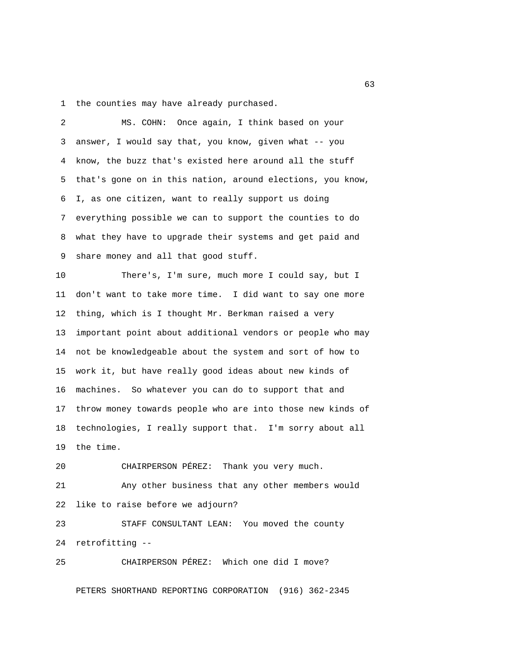1 the counties may have already purchased.

 2 MS. COHN: Once again, I think based on your 3 answer, I would say that, you know, given what -- you 4 know, the buzz that's existed here around all the stuff 5 that's gone on in this nation, around elections, you know, 6 I, as one citizen, want to really support us doing 7 everything possible we can to support the counties to do 8 what they have to upgrade their systems and get paid and 9 share money and all that good stuff. 10 There's, I'm sure, much more I could say, but I 11 don't want to take more time. I did want to say one more 12 thing, which is I thought Mr. Berkman raised a very 13 important point about additional vendors or people who may 14 not be knowledgeable about the system and sort of how to 15 work it, but have really good ideas about new kinds of 16 machines. So whatever you can do to support that and 17 throw money towards people who are into those new kinds of

18 technologies, I really support that. I'm sorry about all 19 the time.

20 CHAIRPERSON PÉREZ: Thank you very much. 21 Any other business that any other members would 22 like to raise before we adjourn? 23 STAFF CONSULTANT LEAN: You moved the county 24 retrofitting --

25 CHAIRPERSON PÉREZ: Which one did I move?

PETERS SHORTHAND REPORTING CORPORATION (916) 362-2345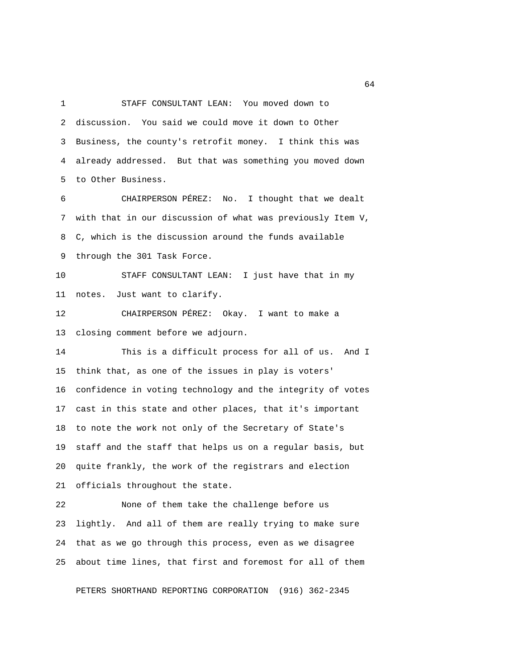1 STAFF CONSULTANT LEAN: You moved down to 2 discussion. You said we could move it down to Other 3 Business, the county's retrofit money. I think this was 4 already addressed. But that was something you moved down 5 to Other Business.

 6 CHAIRPERSON PÉREZ: No. I thought that we dealt 7 with that in our discussion of what was previously Item V, 8 C, which is the discussion around the funds available 9 through the 301 Task Force.

10 STAFF CONSULTANT LEAN: I just have that in my 11 notes. Just want to clarify.

12 CHAIRPERSON PÉREZ: Okay. I want to make a 13 closing comment before we adjourn.

14 This is a difficult process for all of us. And I 15 think that, as one of the issues in play is voters' 16 confidence in voting technology and the integrity of votes 17 cast in this state and other places, that it's important 18 to note the work not only of the Secretary of State's 19 staff and the staff that helps us on a regular basis, but 20 quite frankly, the work of the registrars and election 21 officials throughout the state.

22 None of them take the challenge before us 23 lightly. And all of them are really trying to make sure 24 that as we go through this process, even as we disagree 25 about time lines, that first and foremost for all of them

PETERS SHORTHAND REPORTING CORPORATION (916) 362-2345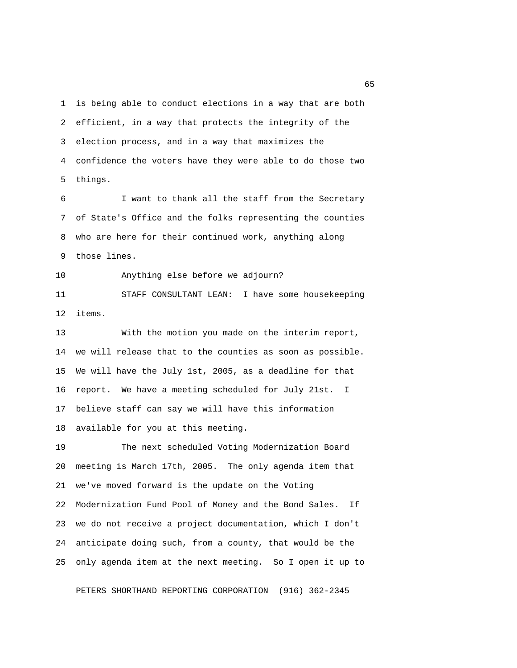1 is being able to conduct elections in a way that are both 2 efficient, in a way that protects the integrity of the 3 election process, and in a way that maximizes the 4 confidence the voters have they were able to do those two 5 things.

 6 I want to thank all the staff from the Secretary 7 of State's Office and the folks representing the counties 8 who are here for their continued work, anything along 9 those lines.

10 Anything else before we adjourn?

11 STAFF CONSULTANT LEAN: I have some housekeeping 12 items.

13 With the motion you made on the interim report, 14 we will release that to the counties as soon as possible. 15 We will have the July 1st, 2005, as a deadline for that 16 report. We have a meeting scheduled for July 21st. I 17 believe staff can say we will have this information 18 available for you at this meeting.

19 The next scheduled Voting Modernization Board 20 meeting is March 17th, 2005. The only agenda item that 21 we've moved forward is the update on the Voting 22 Modernization Fund Pool of Money and the Bond Sales. If 23 we do not receive a project documentation, which I don't 24 anticipate doing such, from a county, that would be the 25 only agenda item at the next meeting. So I open it up to

PETERS SHORTHAND REPORTING CORPORATION (916) 362-2345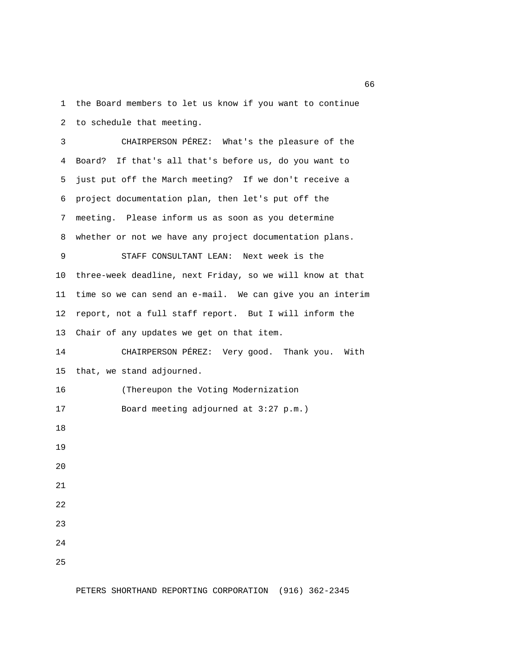1 the Board members to let us know if you want to continue 2 to schedule that meeting.

 3 CHAIRPERSON PÉREZ: What's the pleasure of the 4 Board? If that's all that's before us, do you want to 5 just put off the March meeting? If we don't receive a 6 project documentation plan, then let's put off the 7 meeting. Please inform us as soon as you determine 8 whether or not we have any project documentation plans. 9 STAFF CONSULTANT LEAN: Next week is the 10 three-week deadline, next Friday, so we will know at that 11 time so we can send an e-mail. We can give you an interim 12 report, not a full staff report. But I will inform the 13 Chair of any updates we get on that item. 14 CHAIRPERSON PÉREZ: Very good. Thank you. With 15 that, we stand adjourned. 16 (Thereupon the Voting Modernization 17 Board meeting adjourned at 3:27 p.m.) 18 19 20 21 22 23 24 25